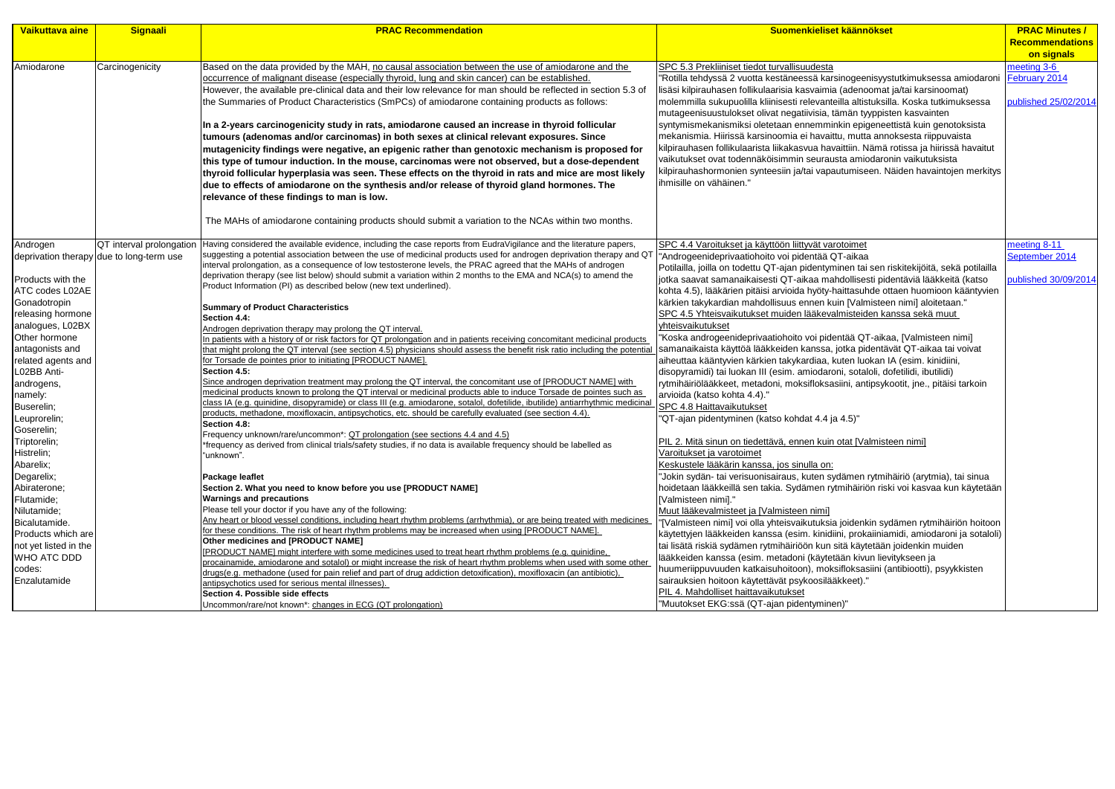| Vaikuttava aine       | Signaali                                 | <b>PRAC Recommendation</b>                                                                                                                                                                                                                 | Suomenkieliset käännökset                                                                  | <b>PRAC Minutes /</b>  |
|-----------------------|------------------------------------------|--------------------------------------------------------------------------------------------------------------------------------------------------------------------------------------------------------------------------------------------|--------------------------------------------------------------------------------------------|------------------------|
|                       |                                          |                                                                                                                                                                                                                                            |                                                                                            | <b>Recommendations</b> |
|                       |                                          |                                                                                                                                                                                                                                            |                                                                                            | on signals             |
| Amiodarone            | Carcinogenicity                          | Based on the data provided by the MAH, no causal association between the use of amiodarone and the                                                                                                                                         | SPC 5.3 Prekliiniset tiedot turvallisuudesta                                               | meeting 3-6            |
|                       |                                          | occurrence of malignant disease (especially thyroid, lung and skin cancer) can be established.                                                                                                                                             | 'Rotilla tehdyssä 2 vuotta kestäneessä karsinogeenisyystutkimuksessa amiodaroni            | February 2014          |
|                       |                                          | However, the available pre-clinical data and their low relevance for man should be reflected in section 5.3 of                                                                                                                             | lisäsi kilpirauhasen follikulaarisia kasvaimia (adenoomat ja/tai karsinoomat)              |                        |
|                       |                                          | the Summaries of Product Characteristics (SmPCs) of amiodarone containing products as follows:                                                                                                                                             | molemmilla sukupuolilla kliinisesti relevanteilla altistuksilla. Koska tutkimuksessa       | published 25/02/2014   |
|                       |                                          |                                                                                                                                                                                                                                            | mutageenisuustulokset olivat negatiivisia, tämän tyyppisten kasvainten                     |                        |
|                       |                                          | In a 2-years carcinogenicity study in rats, amiodarone caused an increase in thyroid follicular                                                                                                                                            | syntymismekanismiksi oletetaan ennemminkin epigeneettistä kuin genotoksista                |                        |
|                       |                                          | tumours (adenomas and/or carcinomas) in both sexes at clinical relevant exposures. Since                                                                                                                                                   | mekanismia. Hiirissä karsinoomia ei havaittu, mutta annoksesta riippuvaista                |                        |
|                       |                                          | mutagenicity findings were negative, an epigenic rather than genotoxic mechanism is proposed for                                                                                                                                           | kilpirauhasen follikulaarista liikakasvua havaittiin. Nämä rotissa ja hiirissä havaitut    |                        |
|                       |                                          | this type of tumour induction. In the mouse, carcinomas were not observed, but a dose-dependent                                                                                                                                            | vaikutukset ovat todennäköisimmin seurausta amiodaronin vaikutuksista                      |                        |
|                       |                                          | thyroid follicular hyperplasia was seen. These effects on the thyroid in rats and mice are most likely                                                                                                                                     | kilpirauhashormonien synteesiin ja/tai vapautumiseen. Näiden havaintojen merkitys          |                        |
|                       |                                          | due to effects of amiodarone on the synthesis and/or release of thyroid gland hormones. The                                                                                                                                                | ihmisille on vähäinen."                                                                    |                        |
|                       |                                          | relevance of these findings to man is low.                                                                                                                                                                                                 |                                                                                            |                        |
|                       |                                          |                                                                                                                                                                                                                                            |                                                                                            |                        |
|                       |                                          | The MAHs of amiodarone containing products should submit a variation to the NCAs within two months.                                                                                                                                        |                                                                                            |                        |
| Androgen              | QT interval prolongation                 | Having considered the available evidence, including the case reports from EudraVigilance and the literature papers,                                                                                                                        | SPC 4.4 Varoitukset ja käyttöön liittyvät varotoimet                                       | meeting 8-11           |
|                       | deprivation therapy due to long-term use | suggesting a potential association between the use of medicinal products used for androgen deprivation therapy and Q                                                                                                                       | "Androgeenideprivaatiohoito voi pidentää QT-aikaa                                          | September 2014         |
|                       |                                          | interval prolongation, as a consequence of low testosterone levels, the PRAC agreed that the MAHs of androgen                                                                                                                              | Potilailla, joilla on todettu QT-ajan pidentyminen tai sen riskitekijöitä, sekä potilailla |                        |
| Products with the     |                                          | deprivation therapy (see list below) should submit a variation within 2 months to the EMA and NCA(s) to amend the                                                                                                                          | jotka saavat samanaikaisesti QT-aikaa mahdollisesti pidentäviä lääkkeitä (katso            | published 30/09/2014   |
| ATC codes L02AE       |                                          | Product Information (PI) as described below (new text underlined).                                                                                                                                                                         | kohta 4.5), lääkärien pitäisi arvioida hyöty-haittasuhde ottaen huomioon kääntyvien        |                        |
| Gonadotropin          |                                          | <b>Summary of Product Characteristics</b>                                                                                                                                                                                                  | kärkien takykardian mahdollisuus ennen kuin [Valmisteen nimi] aloitetaan."                 |                        |
| releasing hormone     |                                          | Section 4.4:                                                                                                                                                                                                                               | SPC 4.5 Yhteisvaikutukset muiden lääkevalmisteiden kanssa sekä muut                        |                        |
| analogues, L02BX      |                                          | Androgen deprivation therapy may prolong the QT interval.                                                                                                                                                                                  | yhteisvaikutukset                                                                          |                        |
| Other hormone         |                                          | In patients with a history of or risk factors for QT prolongation and in patients receiving concomitant medicinal products                                                                                                                 | Koska androgeenideprivaatiohoito voi pidentää QT-aikaa, [Valmisteen nimi]                  |                        |
| antagonists and       |                                          | that might prolong the QT interval (see section 4.5) physicians should assess the benefit risk ratio including the potentia                                                                                                                | samanaikaista käyttöä lääkkeiden kanssa, jotka pidentävät QT-aikaa tai voivat              |                        |
| related agents and    |                                          | for Torsade de pointes prior to initiating [PRODUCT NAME].                                                                                                                                                                                 | aiheuttaa kääntyvien kärkien takykardiaa, kuten luokan IA (esim. kinidiini,                |                        |
| L02BB Anti-           |                                          | Section 4.5:                                                                                                                                                                                                                               | disopyramidi) tai luokan III (esim. amiodaroni, sotaloli, dofetilidi, ibutilidi)           |                        |
| androgens,            |                                          | Since androgen deprivation treatment may prolong the QT interval, the concomitant use of [PRODUCT NAME] with                                                                                                                               | rytmihäiriölääkkeet, metadoni, moksifloksasiini, antipsykootit, jne., pitäisi tarkoin      |                        |
| namely:               |                                          | medicinal products known to prolong the QT interval or medicinal products able to induce Torsade de pointes such as                                                                                                                        | arvioida (katso kohta 4.4)."                                                               |                        |
| Buserelin;            |                                          | class IA (e.g. quinidine, disopyramide) or class III (e.g. amiodarone, sotalol, dofetilide, ibutilide) antiarrhythmic medicina<br>products, methadone, moxifloxacin, antipsychotics, etc. should be carefully evaluated (see section 4.4). | SPC 4.8 Haittavaikutukset                                                                  |                        |
| Leuprorelin;          |                                          | Section 4.8:                                                                                                                                                                                                                               | "QT-ajan pidentyminen (katso kohdat 4.4 ja 4.5)"                                           |                        |
| Goserelin;            |                                          | Frequency unknown/rare/uncommon*: QT prolongation (see sections 4.4 and 4.5)                                                                                                                                                               |                                                                                            |                        |
| Triptorelin;          |                                          | frequency as derived from clinical trials/safety studies, if no data is available frequency should be labelled as                                                                                                                          | PIL 2. Mitä sinun on tiedettävä, ennen kuin otat [Valmisteen nimi]                         |                        |
| Histrelin;            |                                          | "unknown".                                                                                                                                                                                                                                 | Varoitukset ja varotoimet                                                                  |                        |
| Abarelix;             |                                          |                                                                                                                                                                                                                                            | Keskustele lääkärin kanssa, jos sinulla on:                                                |                        |
| Degarelix;            |                                          | <b>Package leaflet</b>                                                                                                                                                                                                                     | Jokin sydän- tai verisuonisairaus, kuten sydämen rytmihäiriö (arytmia), tai sinua          |                        |
| Abiraterone;          |                                          | Section 2. What you need to know before you use [PRODUCT NAME]                                                                                                                                                                             | hoidetaan lääkkeillä sen takia. Sydämen rytmihäiriön riski voi kasvaa kun käytetään        |                        |
| Flutamide;            |                                          | <b>Warnings and precautions</b><br>Please tell your doctor if you have any of the following:                                                                                                                                               | [Valmisteen nimi]."                                                                        |                        |
| Nilutamide;           |                                          | Any heart or blood vessel conditions, including heart rhythm problems (arrhythmia), or are being treated with medicines                                                                                                                    | Muut lääkevalmisteet ja [Valmisteen nimi]                                                  |                        |
| Bicalutamide.         |                                          | for these conditions. The risk of heart rhythm problems may be increased when using [PRODUCT NAME].                                                                                                                                        | [Valmisteen nimi] voi olla yhteisvaikutuksia joidenkin sydämen rytmihäiriön hoitoon        |                        |
| Products which are    |                                          | Other medicines and [PRODUCT NAME]                                                                                                                                                                                                         | käytettyjen lääkkeiden kanssa (esim. kinidiini, prokaiiniamidi, amiodaroni ja sotaloli)    |                        |
| not yet listed in the |                                          | [PRODUCT NAME] might interfere with some medicines used to treat heart rhythm problems (e.g. quinidine,                                                                                                                                    | tai lisätä riskiä sydämen rytmihäiriöön kun sitä käytetään joidenkin muiden                |                        |
| WHO ATC DDD           |                                          | procainamide, amiodarone and sotalol) or might increase the risk of heart rhythm problems when used with some other                                                                                                                        | lääkkeiden kanssa (esim. metadoni (käytetään kivun lievitykseen ja                         |                        |
| codes:                |                                          | drugs(e.g. methadone (used for pain relief and part of drug addiction detoxification), moxifloxacin (an antibiotic),                                                                                                                       | huumeriippuvuuden katkaisuhoitoon), moksifloksasiini (antibiootti), psyykkisten            |                        |
| Enzalutamide          |                                          | antipsychotics used for serious mental illnesses).                                                                                                                                                                                         | sairauksien hoitoon käytettävät psykoosilääkkeet)."                                        |                        |
|                       |                                          | Section 4. Possible side effects                                                                                                                                                                                                           | PIL 4. Mahdolliset haittavaikutukset                                                       |                        |
|                       |                                          | Uncommon/rare/not known*: changes in ECG (QT prolongation)                                                                                                                                                                                 | "Muutokset EKG:ssä (QT-ajan pidentyminen)"                                                 |                        |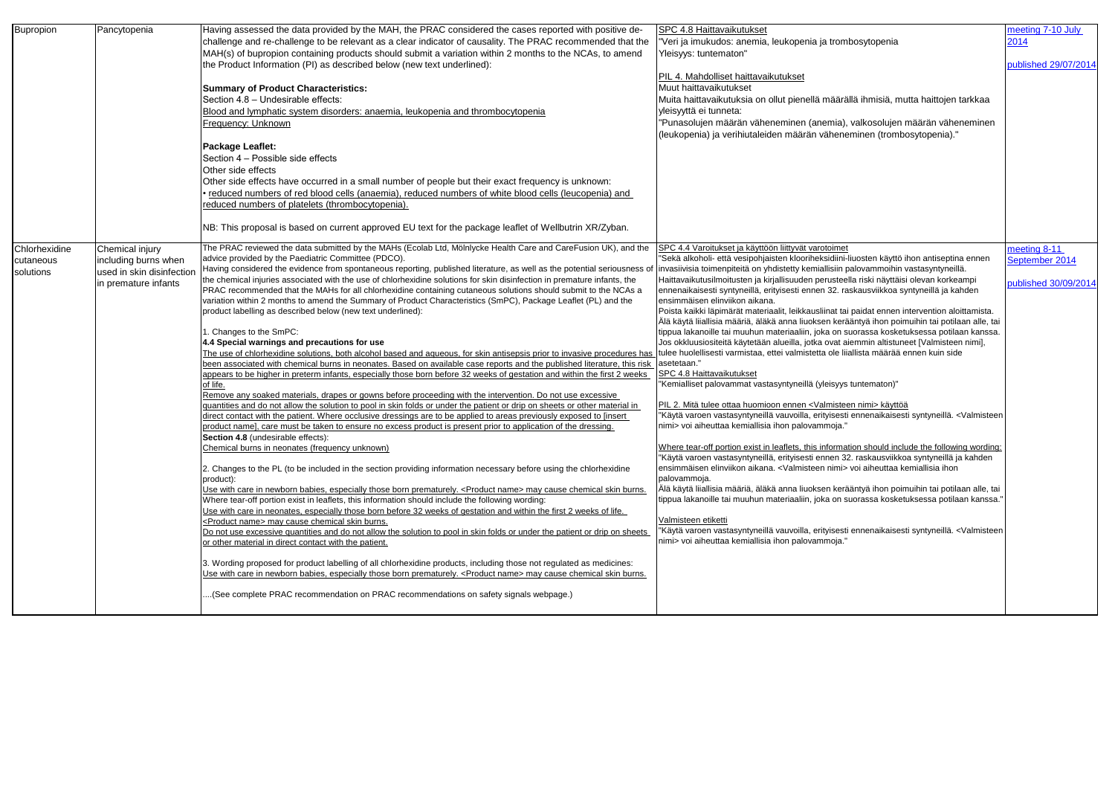| <b>Bupropion</b> | Pancytopenia              | Having assessed the data provided by the MAH, the PRAC considered the cases reported with positive de-                         | SPC 4.8 Haittavaikutukset                                                                                                                                                                      |
|------------------|---------------------------|--------------------------------------------------------------------------------------------------------------------------------|------------------------------------------------------------------------------------------------------------------------------------------------------------------------------------------------|
|                  |                           | challenge and re-challenge to be relevant as a clear indicator of causality. The PRAC recommended that the                     | "Veri ja imukudos: anemia, leukopenia ja trombosytopenia                                                                                                                                       |
|                  |                           | MAH(s) of bupropion containing products should submit a variation within 2 months to the NCAs, to amend                        | Yleisyys: tuntematon"                                                                                                                                                                          |
|                  |                           | the Product Information (PI) as described below (new text underlined):                                                         |                                                                                                                                                                                                |
|                  |                           |                                                                                                                                | PIL 4. Mahdolliset haittavaikutukset                                                                                                                                                           |
|                  |                           | <b>Summary of Product Characteristics:</b>                                                                                     | Muut haittavaikutukset                                                                                                                                                                         |
|                  |                           | Section 4.8 - Undesirable effects:                                                                                             | Muita haittavaikutuksia on ollut pienellä määrällä ihmisiä, mutta haittojen tarkkaa                                                                                                            |
|                  |                           | Blood and lymphatic system disorders: anaemia, leukopenia and thrombocytopenia                                                 | yleisyyttä ei tunneta:                                                                                                                                                                         |
|                  |                           | Frequency: Unknown                                                                                                             | "Punasolujen määrän väheneminen (anemia), valkosolujen määrän väheneminen                                                                                                                      |
|                  |                           |                                                                                                                                | (leukopenia) ja verihiutaleiden määrän väheneminen (trombosytopenia)."                                                                                                                         |
|                  |                           | <b>Package Leaflet:</b>                                                                                                        |                                                                                                                                                                                                |
|                  |                           | Section 4 - Possible side effects                                                                                              |                                                                                                                                                                                                |
|                  |                           | Other side effects                                                                                                             |                                                                                                                                                                                                |
|                  |                           | Other side effects have occurred in a small number of people but their exact frequency is unknown:                             |                                                                                                                                                                                                |
|                  |                           | reduced numbers of red blood cells (anaemia), reduced numbers of white blood cells (leucopenia) and                            |                                                                                                                                                                                                |
|                  |                           | reduced numbers of platelets (thrombocytopenia).                                                                               |                                                                                                                                                                                                |
|                  |                           |                                                                                                                                |                                                                                                                                                                                                |
|                  |                           | NB: This proposal is based on current approved EU text for the package leaflet of Wellbutrin XR/Zyban.                         |                                                                                                                                                                                                |
|                  |                           |                                                                                                                                |                                                                                                                                                                                                |
| Chlorhexidine    | Chemical injury           | The PRAC reviewed the data submitted by the MAHs (Ecolab Ltd, Mölnlycke Health Care and CareFusion UK), and the                | SPC 4.4 Varoitukset ja käyttöön liittyvät varotoimet                                                                                                                                           |
| cutaneous        | including burns when      | advice provided by the Paediatric Committee (PDCO).                                                                            | 'Sekä alkoholi- että vesipohjaisten klooriheksidiini-liuosten käyttö ihon antiseptina ennen                                                                                                    |
| solutions        | used in skin disinfection | Having considered the evidence from spontaneous reporting, published literature, as well as the potential seriousness o        | invasiivisia toimenpiteitä on yhdistetty kemiallisiin palovammoihin vastasyntyneillä.                                                                                                          |
|                  | in premature infants      | the chemical injuries associated with the use of chlorhexidine solutions for skin disinfection in premature infants, the       | Haittavaikutusilmoitusten ja kirjallisuuden perusteella riski näyttäisi olevan korkeampi                                                                                                       |
|                  |                           | PRAC recommended that the MAHs for all chlorhexidine containing cutaneous solutions should submit to the NCAs a                | ennenaikaisesti syntyneillä, erityisesti ennen 32. raskausviikkoa syntyneillä ja kahden                                                                                                        |
|                  |                           | variation within 2 months to amend the Summary of Product Characteristics (SmPC), Package Leaflet (PL) and the                 | ensimmäisen elinviikon aikana.                                                                                                                                                                 |
|                  |                           | product labelling as described below (new text underlined):                                                                    | Poista kaikki läpimärät materiaalit, leikkausliinat tai paidat ennen intervention aloittamista.                                                                                                |
|                  |                           | . Changes to the SmPC:                                                                                                         | Älä käytä liiallisia määriä, äläkä anna liuoksen kerääntyä ihon poimuihin tai potilaan alle, tai<br>tippua lakanoille tai muuhun materiaaliin, joka on suorassa kosketuksessa potilaan kanssa. |
|                  |                           | 4.4 Special warnings and precautions for use                                                                                   | Jos okkluusiositeitä käytetään alueilla, jotka ovat aiemmin altistuneet [Valmisteen nimi],                                                                                                     |
|                  |                           | The use of chlorhexidine solutions, both alcohol based and aqueous, for skin antisepsis prior to invasive procedures has       | tulee huolellisesti varmistaa, ettei valmistetta ole liiallista määrää ennen kuin side                                                                                                         |
|                  |                           | been associated with chemical burns in neonates. Based on available case reports and the published literature, this risk       | asetetaan."                                                                                                                                                                                    |
|                  |                           | appears to be higher in preterm infants, especially those born before 32 weeks of gestation and within the first 2 weeks       | SPC 4.8 Haittavaikutukset                                                                                                                                                                      |
|                  |                           | of life.                                                                                                                       | "Kemialliset palovammat vastasyntyneillä (yleisyys tuntematon)"                                                                                                                                |
|                  |                           | Remove any soaked materials, drapes or gowns before proceeding with the intervention. Do not use excessive                     |                                                                                                                                                                                                |
|                  |                           | quantities and do not allow the solution to pool in skin folds or under the patient or drip on sheets or other material in     | PIL 2. Mitä tulee ottaa huomioon ennen <valmisteen nimi=""> käyttöä</valmisteen>                                                                                                               |
|                  |                           | direct contact with the patient. Where occlusive dressings are to be applied to areas previously exposed to [insert            | "Käytä varoen vastasyntyneillä vauvoilla, erityisesti ennenaikaisesti syntyneillä. <valmisteen< td=""></valmisteen<>                                                                           |
|                  |                           | product name], care must be taken to ensure no excess product is present prior to application of the dressing.                 | nimi> voi aiheuttaa kemiallisia ihon palovammoja."                                                                                                                                             |
|                  |                           | Section 4.8 (undesirable effects):                                                                                             |                                                                                                                                                                                                |
|                  |                           | Chemical burns in neonates (frequency unknown)                                                                                 | Where tear-off portion exist in leaflets, this information should include the following wording:<br>Käytä varoen vastasyntyneillä, erityisesti ennen 32. raskausviikkoa syntyneillä ja kahden  |
|                  |                           | 2. Changes to the PL (to be included in the section providing information necessary before using the chlorhexidine             | ensimmäisen elinviikon aikana. <valmisteen nimi=""> voi aiheuttaa kemiallisia ihon</valmisteen>                                                                                                |
|                  |                           | product):                                                                                                                      | palovammoja.                                                                                                                                                                                   |
|                  |                           | Use with care in newborn babies, especially those born prematurely. <product name=""> may cause chemical skin burns.</product> | Älä käytä liiallisia määriä, äläkä anna liuoksen kerääntyä ihon poimuihin tai potilaan alle, tai                                                                                               |
|                  |                           | Where tear-off portion exist in leaflets, this information should include the following wording:                               | tippua lakanoille tai muuhun materiaaliin, joka on suorassa kosketuksessa potilaan kanssa."                                                                                                    |
|                  |                           | Use with care in neonates, especially those born before 32 weeks of gestation and within the first 2 weeks of life.            |                                                                                                                                                                                                |
|                  |                           | <product name=""> may cause chemical skin burns.</product>                                                                     | Valmisteen etiketti                                                                                                                                                                            |
|                  |                           | Do not use excessive quantities and do not allow the solution to pool in skin folds or under the patient or drip on sheets     | "Käytä varoen vastasyntyneillä vauvoilla, erityisesti ennenaikaisesti syntyneillä. <valmisteen< td=""></valmisteen<>                                                                           |
|                  |                           | or other material in direct contact with the patient.                                                                          | nimi> voi aiheuttaa kemiallisia ihon palovammoja."                                                                                                                                             |
|                  |                           |                                                                                                                                |                                                                                                                                                                                                |
|                  |                           | 3. Wording proposed for product labelling of all chlorhexidine products, including those not regulated as medicines:           |                                                                                                                                                                                                |
|                  |                           | Use with care in newborn babies, especially those born prematurely. <product name=""> may cause chemical skin burns.</product> |                                                                                                                                                                                                |
|                  |                           | (See complete PRAC recommendation on PRAC recommendations on safety signals webpage.)                                          |                                                                                                                                                                                                |
|                  |                           |                                                                                                                                |                                                                                                                                                                                                |
|                  |                           |                                                                                                                                |                                                                                                                                                                                                |

| nbosytopenia                                                                                                                                                                                                          | meeting 7-10 July<br>2014      |
|-----------------------------------------------------------------------------------------------------------------------------------------------------------------------------------------------------------------------|--------------------------------|
|                                                                                                                                                                                                                       | published 29/07/2014           |
| rällä ihmisiä, mutta haittojen tarkkaa                                                                                                                                                                                |                                |
| ), valkosolujen määrän väheneminen<br>neminen (trombosytopenia)."                                                                                                                                                     |                                |
|                                                                                                                                                                                                                       |                                |
|                                                                                                                                                                                                                       |                                |
|                                                                                                                                                                                                                       |                                |
| эt<br>i-liuosten käyttö ihon antiseptina ennen<br>palovammoihin vastasyntyneillä.                                                                                                                                     | meeting 8-11<br>September 2014 |
| ella riski näyttäisi olevan korkeampi<br>raskausviikkoa syntyneillä ja kahden                                                                                                                                         | published 30/09/2014           |
| ai paidat ennen intervention aloittamista.<br>rääntyä ihon poimuihin tai potilaan alle, tai<br>suorassa kosketuksessa potilaan kanssa.<br>aiemmin altistuneet [Valmisteen nimi],<br>liiallista määrää ennen kuin side |                                |
| 's tuntematon)"                                                                                                                                                                                                       |                                |
| een nimi> käyttöä<br>sti ennenaikaisesti syntyneillä. <valmisteen< td=""><td></td></valmisteen<>                                                                                                                      |                                |
| <u>ation should include the following wording:</u><br>32. raskausviikkoa syntyneillä ja kahden<br>> voi aiheuttaa kemiallisia ihon                                                                                    |                                |
| rääntyä ihon poimuihin tai potilaan alle, tai<br>suorassa kosketuksessa potilaan kanssa."                                                                                                                             |                                |
| sti ennenaikaisesti syntyneillä. <valmisteen< td=""><td></td></valmisteen<>                                                                                                                                           |                                |
|                                                                                                                                                                                                                       |                                |
|                                                                                                                                                                                                                       |                                |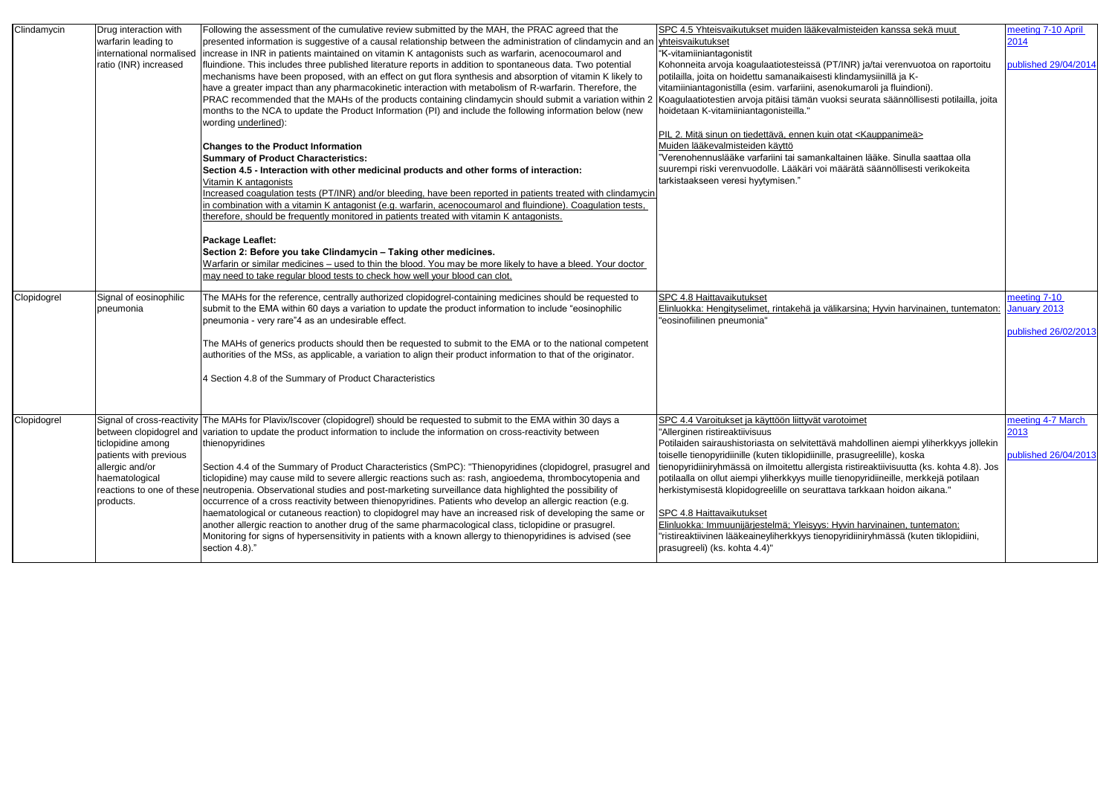| Clindamycin | Drug interaction with<br>warfarin leading to<br>international normalised<br>ratio (INR) increased | Following the assessment of the cumulative review submitted by the MAH, the PRAC agreed that the<br>presented information is suggestive of a causal relationship between the administration of clindamycin and an vyhteisvaikutukset<br>increase in INR in patients maintained on vitamin K antagonists such as warfarin, acenocoumarol and<br>fluindione. This includes three published literature reports in addition to spontaneous data. Two potential<br>mechanisms have been proposed, with an effect on gut flora synthesis and absorption of vitamin K likely to<br>have a greater impact than any pharmacokinetic interaction with metabolism of R-warfarin. Therefore, the<br>PRAC recommended that the MAHs of the products containing clindamycin should submit a variation within 2<br>months to the NCA to update the Product Information (PI) and include the following information below (new<br>wording underlined):<br><b>Changes to the Product Information</b><br><b>Summary of Product Characteristics:</b><br>Section 4.5 - Interaction with other medicinal products and other forms of interaction:<br><u>Vitamin K antagonists</u><br>Increased coagulation tests (PT/INR) and/or bleeding, have been reported in patients treated with clindamycin<br>in combination with a vitamin K antagonist (e.g. warfarin, acenocoumarol and fluindione). Coagulation tests,<br>therefore, should be frequently monitored in patients treated with vitamin K antagonists.<br><b>Package Leaflet:</b><br>Section 2: Before you take Clindamycin - Taking other medicines.<br>Warfarin or similar medicines – used to thin the blood. You may be more likely to have a bleed. Your doctor | SPC 4.5 Yhteisvaikutukset muiden lääkevalmisteiden kanssa sekä muut<br>"K-vitamiiniantagonistit<br>Kohonneita arvoja koagulaatiotesteissä (PT/INR) ja/tai verenvuotoa on raportoitu<br>potilailla, joita on hoidettu samanaikaisesti klindamysiinillä ja K-<br>vitamiiniantagonistilla (esim. varfariini, asenokumaroli ja fluindioni).<br>Koagulaatiotestien arvoja pitäisi tämän vuoksi seurata säännöllisesti potilailla, joita<br>hoidetaan K-vitamiiniantagonisteilla."<br>PIL 2. Mitä sinun on tiedettävä, ennen kuin otat <kauppanimeä><br/>Muiden lääkevalmisteiden käyttö<br/>"Verenohennuslääke varfariini tai samankaltainen lääke. Sinulla saattaa olla<br/>suurempi riski verenvuodolle. Lääkäri voi määrätä säännöllisesti verikokeita<br/>tarkistaakseen veresi hyytymisen."</kauppanimeä> | meeting 7-10 April<br>2014<br>published 29/04/2014   |
|-------------|---------------------------------------------------------------------------------------------------|---------------------------------------------------------------------------------------------------------------------------------------------------------------------------------------------------------------------------------------------------------------------------------------------------------------------------------------------------------------------------------------------------------------------------------------------------------------------------------------------------------------------------------------------------------------------------------------------------------------------------------------------------------------------------------------------------------------------------------------------------------------------------------------------------------------------------------------------------------------------------------------------------------------------------------------------------------------------------------------------------------------------------------------------------------------------------------------------------------------------------------------------------------------------------------------------------------------------------------------------------------------------------------------------------------------------------------------------------------------------------------------------------------------------------------------------------------------------------------------------------------------------------------------------------------------------------------------------------------------------------------------------------------------------------------------------------------|-----------------------------------------------------------------------------------------------------------------------------------------------------------------------------------------------------------------------------------------------------------------------------------------------------------------------------------------------------------------------------------------------------------------------------------------------------------------------------------------------------------------------------------------------------------------------------------------------------------------------------------------------------------------------------------------------------------------------------------------------------------------------------------------------------------|------------------------------------------------------|
|             |                                                                                                   | may need to take regular blood tests to check how well your blood can clot.                                                                                                                                                                                                                                                                                                                                                                                                                                                                                                                                                                                                                                                                                                                                                                                                                                                                                                                                                                                                                                                                                                                                                                                                                                                                                                                                                                                                                                                                                                                                                                                                                             |                                                                                                                                                                                                                                                                                                                                                                                                                                                                                                                                                                                                                                                                                                                                                                                                           |                                                      |
| Clopidogrel | Signal of eosinophilic<br>pneumonia                                                               | The MAHs for the reference, centrally authorized clopidogrel-containing medicines should be requested to<br>submit to the EMA within 60 days a variation to update the product information to include "eosinophilic<br>pneumonia - very rare"4 as an undesirable effect.<br>The MAHs of generics products should then be requested to submit to the EMA or to the national competent<br>authorities of the MSs, as applicable, a variation to align their product information to that of the originator.<br>4 Section 4.8 of the Summary of Product Characteristics                                                                                                                                                                                                                                                                                                                                                                                                                                                                                                                                                                                                                                                                                                                                                                                                                                                                                                                                                                                                                                                                                                                                     | SPC 4.8 Haittavaikutukset<br>Elinluokka: Hengityselimet, rintakehä ja välikarsina; Hyvin harvinainen, tuntematon<br>"eosinofiilinen pneumonia"                                                                                                                                                                                                                                                                                                                                                                                                                                                                                                                                                                                                                                                            | meeting 7-10<br>January 2013<br>published 26/02/2013 |
| Clopidogrel | ticlopidine among<br>patients with previous<br>allergic and/or<br>haematological<br>products.     | Signal of cross-reactivity The MAHs for Plavix/Iscover (clopidogrel) should be requested to submit to the EMA within 30 days a<br>between clopidogrel and variation to update the product information to include the information on cross-reactivity between<br>thienopyridines<br>Section 4.4 of the Summary of Product Characteristics (SmPC): "Thienopyridines (clopidogrel, prasugrel and<br>ticlopidine) may cause mild to severe allergic reactions such as: rash, angioedema, thrombocytopenia and<br>reactions to one of these neutropenia. Observational studies and post-marketing surveillance data highlighted the possibility of<br>occurrence of a cross reactivity between thienopyridines. Patients who develop an allergic reaction (e.g.<br>haematological or cutaneous reaction) to clopidogrel may have an increased risk of developing the same or<br>another allergic reaction to another drug of the same pharmacological class, ticlopidine or prasugrel.<br>Monitoring for signs of hypersensitivity in patients with a known allergy to thienopyridines is advised (see<br>section 4.8)."                                                                                                                                                                                                                                                                                                                                                                                                                                                                                                                                                                                     | SPC 4.4 Varoitukset ja käyttöön liittyvät varotoimet<br>"Allerginen ristireaktiivisuus<br>Potilaiden sairaushistoriasta on selvitettävä mahdollinen aiempi yliherkkyys jollekin<br>toiselle tienopyridiinille (kuten tiklopidiinille, prasugreelille), koska<br>tienopyridiiniryhmässä on ilmoitettu allergista ristireaktiivisuutta (ks. kohta 4.8). Jos<br>potilaalla on ollut aiempi yliherkkyys muille tienopyridiineille, merkkejä potilaan<br>herkistymisestä klopidogreelille on seurattava tarkkaan hoidon aikana."<br><b>SPC 4.8 Haittavaikutukset</b><br>Elinluokka: Immuunijärjestelmä; Yleisyys: Hyvin harvinainen, tuntematon:<br>"ristireaktiivinen lääkeaineyliherkkyys tienopyridiiniryhmässä (kuten tiklopidiini,<br>prasugreeli) (ks. kohta 4.4)"                                       | meeting 4-7 March<br>2013<br>published 26/04/2013    |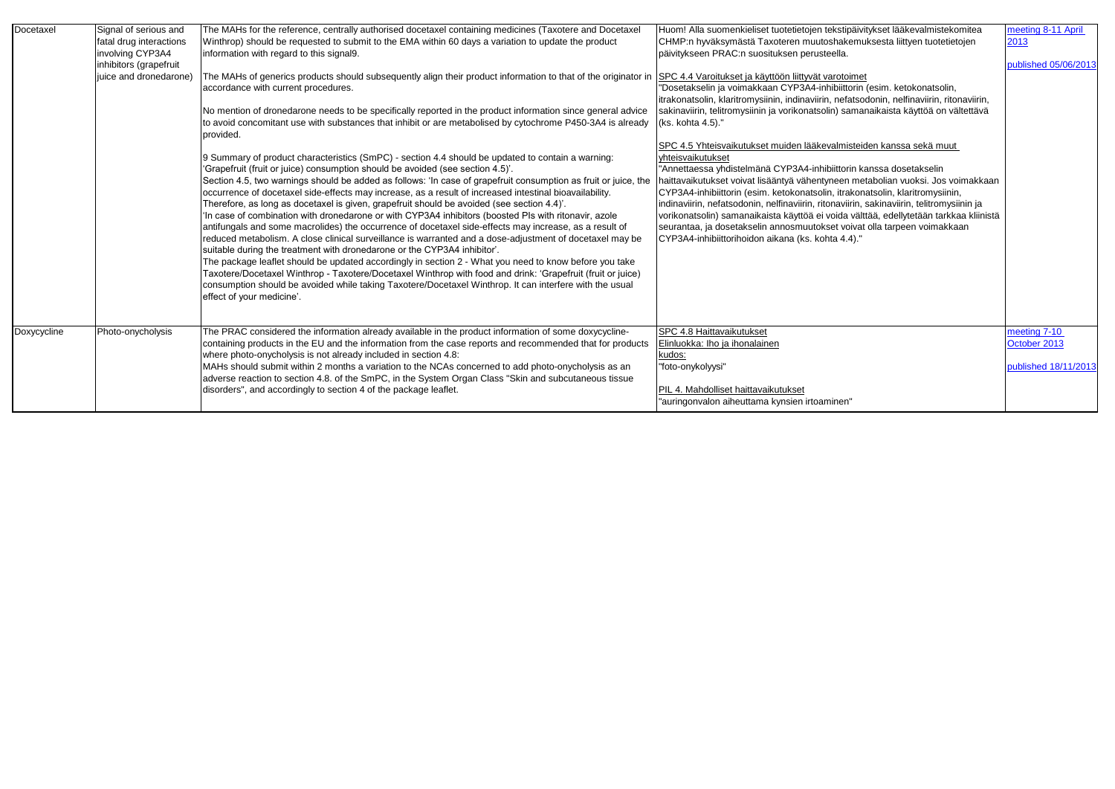| Docetaxel   | Signal of serious and                                                 | The MAHs for the reference, centrally authorised docetaxel containing medicines (Taxotere and Docetaxel                                                                                                                                                                                                                                                                                                                                                                                                                                                                                                                                                                                                                                                                                                                                                                                                                                                                                                                                                                                                                                                                                                                                                                                    | Huom! Alla suomenkieliset tuotetietojen tekstipäivitykset lääkevalmistekomitea                                                                                                                                                                                                                                                                                                                                                                                                                                                                                                                                                                               |
|-------------|-----------------------------------------------------------------------|--------------------------------------------------------------------------------------------------------------------------------------------------------------------------------------------------------------------------------------------------------------------------------------------------------------------------------------------------------------------------------------------------------------------------------------------------------------------------------------------------------------------------------------------------------------------------------------------------------------------------------------------------------------------------------------------------------------------------------------------------------------------------------------------------------------------------------------------------------------------------------------------------------------------------------------------------------------------------------------------------------------------------------------------------------------------------------------------------------------------------------------------------------------------------------------------------------------------------------------------------------------------------------------------|--------------------------------------------------------------------------------------------------------------------------------------------------------------------------------------------------------------------------------------------------------------------------------------------------------------------------------------------------------------------------------------------------------------------------------------------------------------------------------------------------------------------------------------------------------------------------------------------------------------------------------------------------------------|
|             | fatal drug interactions<br>involving CYP3A4<br>inhibitors (grapefruit | Winthrop) should be requested to submit to the EMA within 60 days a variation to update the product<br>information with regard to this signal9.                                                                                                                                                                                                                                                                                                                                                                                                                                                                                                                                                                                                                                                                                                                                                                                                                                                                                                                                                                                                                                                                                                                                            | CHMP:n hyväksymästä Taxoteren muutoshakemuksesta liittyen tuotetietojen<br>päivitykseen PRAC:n suosituksen perusteella.                                                                                                                                                                                                                                                                                                                                                                                                                                                                                                                                      |
|             | uice and dronedarone)                                                 | The MAHs of generics products should subsequently align their product information to that of the originator in<br>accordance with current procedures.<br>No mention of dronedarone needs to be specifically reported in the product information since general advice<br>to avoid concomitant use with substances that inhibit or are metabolised by cytochrome P450-3A4 is already<br>provided.                                                                                                                                                                                                                                                                                                                                                                                                                                                                                                                                                                                                                                                                                                                                                                                                                                                                                            | SPC 4.4 Varoitukset ja käyttöön liittyvät varotoimet<br>"Dosetakselin ja voimakkaan CYP3A4-inhibiittorin (esim. ketokonatsolin,<br>trakonatsolin, klaritromysiinin, indinaviirin, nefatsodonin, nelfinaviirin, ritonaviirin,<br>sakinaviirin, telitromysiinin ja vorikonatsolin) samanaikaista käyttöä on vältettävä<br>(ks. kohta 4.5)."                                                                                                                                                                                                                                                                                                                    |
|             |                                                                       | 9 Summary of product characteristics (SmPC) - section 4.4 should be updated to contain a warning:<br>'Grapefruit (fruit or juice) consumption should be avoided (see section 4.5)'.<br>Section 4.5, two warnings should be added as follows: 'In case of grapefruit consumption as fruit or juice, the<br>occurrence of docetaxel side-effects may increase, as a result of increased intestinal bioavailability.<br>Therefore, as long as docetaxel is given, grapefruit should be avoided (see section 4.4)'.<br>In case of combination with dronedarone or with CYP3A4 inhibitors (boosted PIs with ritonavir, azole<br>antifungals and some macrolides) the occurrence of docetaxel side-effects may increase, as a result of<br>reduced metabolism. A close clinical surveillance is warranted and a dose-adjustment of docetaxel may be<br>suitable during the treatment with dronedarone or the CYP3A4 inhibitor'.<br>The package leaflet should be updated accordingly in section 2 - What you need to know before you take<br>Taxotere/Docetaxel Winthrop - Taxotere/Docetaxel Winthrop with food and drink: 'Grapefruit (fruit or juice)<br>consumption should be avoided while taking Taxotere/Docetaxel Winthrop. It can interfere with the usual<br>effect of your medicine'. | SPC 4.5 Yhteisvaikutukset muiden lääkevalmisteiden kanssa sekä muut<br>yhteisvaikutukset<br>"Annettaessa yhdistelmänä CYP3A4-inhibiittorin kanssa dosetakselin<br>haittavaikutukset voivat lisääntyä vähentyneen metabolian vuoksi. Jos voimakkaan<br>CYP3A4-inhibiittorin (esim. ketokonatsolin, itrakonatsolin, klaritromysiinin,<br>indinaviirin, nefatsodonin, nelfinaviirin, ritonaviirin, sakinaviirin, telitromysiinin ja<br>vorikonatsolin) samanaikaista käyttöä ei voida välttää, edellytetään tarkkaa kliinistä<br>seurantaa, ja dosetakselin annosmuutokset voivat olla tarpeen voimakkaan<br>CYP3A4-inhibiittorihoidon aikana (ks. kohta 4.4)." |
| Doxycycline | Photo-onycholysis                                                     | The PRAC considered the information already available in the product information of some doxycycline-<br>containing products in the EU and the information from the case reports and recommended that for products<br>where photo-onycholysis is not already included in section 4.8:<br>MAHs should submit within 2 months a variation to the NCAs concerned to add photo-onycholysis as an<br>adverse reaction to section 4.8. of the SmPC, in the System Organ Class "Skin and subcutaneous tissue<br>disorders", and accordingly to section 4 of the package leaflet.                                                                                                                                                                                                                                                                                                                                                                                                                                                                                                                                                                                                                                                                                                                  | SPC 4.8 Haittavaikutukset<br>Elinluokka: Iho ja ihonalainen<br>kudos:<br>"foto-onykolyysi"<br>PIL 4. Mahdolliset haittavaikutukset<br>"auringonvalon aiheuttama kynsien irtoaminen"                                                                                                                                                                                                                                                                                                                                                                                                                                                                          |

| tipäivitykset lääkevalmistekomitea         | meeting 8-11 April   |
|--------------------------------------------|----------------------|
| kemuksesta liittyen tuotetietojen          | 2013                 |
| э.                                         |                      |
|                                            | published 05/06/2013 |
| toimet                                     |                      |
| ttorin (esim. ketokonatsolin,              |                      |
| efatsodonin, nelfinaviirin, ritonaviirin,  |                      |
| samanaikaista käyttöä on vältettävä        |                      |
|                                            |                      |
|                                            |                      |
| nisteiden kanssa sekä muut                 |                      |
|                                            |                      |
| orin kanssa dosetakselin                   |                      |
| en metabolian vuoksi. Jos voimakkaan       |                      |
| rakonatsolin, klaritromysiinin,            |                      |
| viirin, sakinaviirin, telitromysiinin ja   |                      |
| la välttää, edellytetään tarkkaa kliinistä |                      |
| voivat olla tarpeen voimakkaan             |                      |
| 4.4)."                                     |                      |
|                                            |                      |
|                                            |                      |
|                                            |                      |
|                                            |                      |
|                                            |                      |
|                                            |                      |
|                                            |                      |
|                                            | meeting 7-10         |
|                                            | October 2013         |
|                                            |                      |
|                                            | published 18/11/2013 |
|                                            |                      |
|                                            |                      |
| 'n"                                        |                      |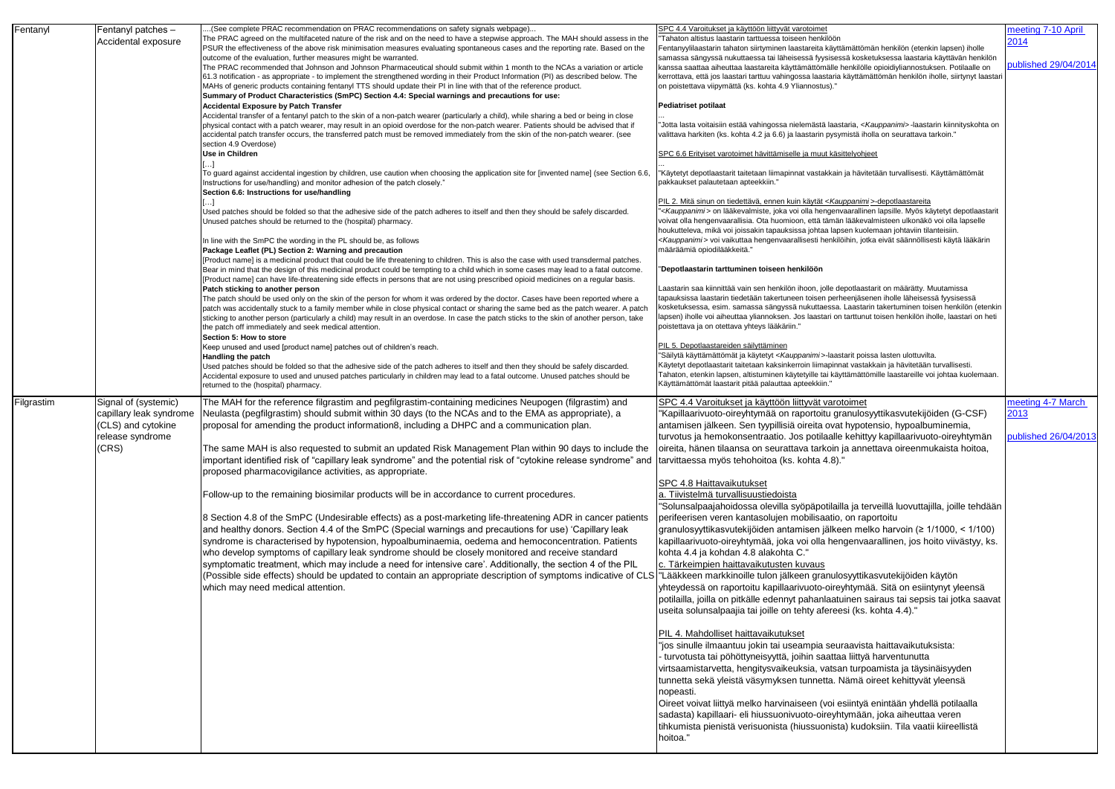| Fentanyl   | Fentanyl patches -      | (See complete PRAC recommendation on PRAC recommendations on safety signals webpage)                                                                                                                                                                                              | SPC 4.4 Varoitukset ja käyttöön liittyvät varotoimet                                                                                                                                                              | meeting 7-10 April   |
|------------|-------------------------|-----------------------------------------------------------------------------------------------------------------------------------------------------------------------------------------------------------------------------------------------------------------------------------|-------------------------------------------------------------------------------------------------------------------------------------------------------------------------------------------------------------------|----------------------|
|            | Accidental exposure     | The PRAC agreed on the multifaceted nature of the risk and on the need to have a stepwise approach. The MAH should assess in the                                                                                                                                                  | Tahaton altistus laastarin tarttuessa toiseen henkilöön                                                                                                                                                           | 2014                 |
|            |                         | PSUR the effectiveness of the above risk minimisation measures evaluating spontaneous cases and the reporting rate. Based on the                                                                                                                                                  | Fentanyylilaastarin tahaton siirtyminen laastareita käyttämättömän henkilön (etenkin lapsen) iholle                                                                                                               |                      |
|            |                         | outcome of the evaluation, further measures might be warranted.                                                                                                                                                                                                                   | samassa sängyssä nukuttaessa tai läheisessä fyysisessä kosketuksessa laastaria käyttävän henkilön                                                                                                                 |                      |
|            |                         | The PRAC recommended that Johnson and Johnson Pharmaceutical should submit within 1 month to the NCAs a variation or article                                                                                                                                                      | kanssa saattaa aiheuttaa laastareita käyttämättömälle henkilölle opioidiyliannostuksen. Potilaalle on                                                                                                             | published 29/04/2014 |
|            |                         | 61.3 notification - as appropriate - to implement the strengthened wording in their Product Information (PI) as described below. The                                                                                                                                              | kerrottava, että jos laastari tarttuu vahingossa laastaria käyttämättömän henkilön iholle, siirtynyt laastari                                                                                                     |                      |
|            |                         | MAHs of generic products containing fentanyl TTS should update their PI in line with that of the reference product.<br>Summary of Product Characteristics (SmPC) Section 4.4: Special warnings and precautions for use:                                                           | on poistettava viipymättä (ks. kohta 4.9 Yliannostus)."                                                                                                                                                           |                      |
|            |                         | <b>Accidental Exposure by Patch Transfer</b>                                                                                                                                                                                                                                      | <b>Pediatriset potilaat</b>                                                                                                                                                                                       |                      |
|            |                         | Accidental transfer of a fentanyl patch to the skin of a non-patch wearer (particularly a child), while sharing a bed or being in close                                                                                                                                           |                                                                                                                                                                                                                   |                      |
|            |                         | physical contact with a patch wearer, may result in an opioid overdose for the non-patch wearer. Patients should be advised that if                                                                                                                                               | Jotta lasta voitaisiin estää vahingossa nielemästä laastaria, < <i>Kauppanimi</i> >-laastarin kiinnityskohta on                                                                                                   |                      |
|            |                         | accidental patch transfer occurs, the transferred patch must be removed immediately from the skin of the non-patch wearer. (see                                                                                                                                                   | valittava harkiten (ks. kohta 4.2 ja 6.6) ja laastarin pysymistä iholla on seurattava tarkoin."                                                                                                                   |                      |
|            |                         | section 4.9 Overdose)                                                                                                                                                                                                                                                             |                                                                                                                                                                                                                   |                      |
|            |                         | Use in Children                                                                                                                                                                                                                                                                   | SPC 6.6 Erityiset varotoimet hävittämiselle ja muut käsittelyohjeet                                                                                                                                               |                      |
|            |                         |                                                                                                                                                                                                                                                                                   |                                                                                                                                                                                                                   |                      |
|            |                         | To guard against accidental ingestion by children, use caution when choosing the application site for [invented name] (see Section 6.6,                                                                                                                                           | Käytetyt depotlaastarit taitetaan liimapinnat vastakkain ja hävitetään turvallisesti. Käyttämättömät                                                                                                              |                      |
|            |                         | Instructions for use/handling) and monitor adhesion of the patch closely."<br>Section 6.6: Instructions for use/handling                                                                                                                                                          | pakkaukset palautetaan apteekkiin."                                                                                                                                                                               |                      |
|            |                         |                                                                                                                                                                                                                                                                                   | PIL 2. Mitä sinun on tiedettävä, ennen kuin käytät < Kauppanimi >-depotlaastareita                                                                                                                                |                      |
|            |                         | Used patches should be folded so that the adhesive side of the patch adheres to itself and then they should be safely discarded.                                                                                                                                                  | <kauppanimi> on lääkevalmiste, joka voi olla hengenvaarallinen lapsille. Myös käytetyt depotlaastarit</kauppanimi>                                                                                                |                      |
|            |                         | Unused patches should be returned to the (hospital) pharmacy.                                                                                                                                                                                                                     | voivat olla hengenvaarallisia. Ota huomioon, että tämän lääkevalmisteen ulkonäkö voi olla lapselle                                                                                                                |                      |
|            |                         |                                                                                                                                                                                                                                                                                   | houkutteleva, mikä voi joissakin tapauksissa johtaa lapsen kuolemaan johtaviin tilanteisiin.                                                                                                                      |                      |
|            |                         | In line with the SmPC the wording in the PL should be, as follows                                                                                                                                                                                                                 | < <i>Kauppanimi</i> > voi vaikuttaa hengenvaarallisesti henkilöihin, jotka eivät säännöllisesti käytä lääkärin                                                                                                    |                      |
|            |                         | Package Leaflet (PL) Section 2: Warning and precaution                                                                                                                                                                                                                            | määräämiä opiodilääkkeitä."                                                                                                                                                                                       |                      |
|            |                         | [Product name] is a medicinal product that could be life threatening to children. This is also the case with used transdermal patches                                                                                                                                             |                                                                                                                                                                                                                   |                      |
|            |                         | Bear in mind that the design of this medicinal product could be tempting to a child which in some cases may lead to a fatal outcome                                                                                                                                               | "Depotlaastarin tarttuminen toiseen henkilöön                                                                                                                                                                     |                      |
|            |                         | [Product name] can have life-threatening side effects in persons that are not using prescribed opioid medicines on a regular basis.                                                                                                                                               |                                                                                                                                                                                                                   |                      |
|            |                         | Patch sticking to another person                                                                                                                                                                                                                                                  | Laastarin saa kiinnittää vain sen henkilön ihoon, jolle depotlaastarit on määrätty. Muutamissa                                                                                                                    |                      |
|            |                         | The patch should be used only on the skin of the person for whom it was ordered by the doctor. Cases have been reported where a                                                                                                                                                   | tapauksissa laastarin tiedetään takertuneen toisen perheenjäsenen iholle läheisessä fyysisessä                                                                                                                    |                      |
|            |                         | patch was accidentally stuck to a family member while in close physical contact or sharing the same bed as the patch wearer. A patch<br>sticking to another person (particularly a child) may result in an overdose. In case the patch sticks to the skin of another person, take | kosketuksessa, esim. samassa sängyssä nukuttaessa. Laastarin takertuminen toisen henkilön (etenkin<br>apsen) iholle voi aiheuttaa yliannoksen. Jos laastari on tarttunut toisen henkilön iholle, laastari on heti |                      |
|            |                         | the patch off immediately and seek medical attention.                                                                                                                                                                                                                             | poistettava ja on otettava yhteys lääkäriin."                                                                                                                                                                     |                      |
|            |                         | Section 5: How to store                                                                                                                                                                                                                                                           |                                                                                                                                                                                                                   |                      |
|            |                         | Keep unused and used [product name] patches out of children's reach.                                                                                                                                                                                                              | PIL 5. Depotlaastareiden säilyttäminen                                                                                                                                                                            |                      |
|            |                         | Handling the patch                                                                                                                                                                                                                                                                | "Säilytä käyttämättömät ja käytetyt < <i>Kauppanimi</i> >-laastarit poissa lasten ulottuvilta.                                                                                                                    |                      |
|            |                         | Used patches should be folded so that the adhesive side of the patch adheres to itself and then they should be safely discarded.                                                                                                                                                  | Käytetyt depotlaastarit taitetaan kaksinkerroin liimapinnat vastakkain ja hävitetään turvallisesti.                                                                                                               |                      |
|            |                         | Accidental exposure to used and unused patches particularly in children may lead to a fatal outcome. Unused patches should be                                                                                                                                                     | Tahaton, etenkin lapsen, altistuminen käytetyille tai käyttämättömille laastareille voi johtaa kuolemaan.                                                                                                         |                      |
|            |                         | returned to the (hospital) pharmacy.                                                                                                                                                                                                                                              | Käyttämättömät laastarit pitää palauttaa apteekkiin."                                                                                                                                                             |                      |
|            |                         |                                                                                                                                                                                                                                                                                   |                                                                                                                                                                                                                   |                      |
|            |                         |                                                                                                                                                                                                                                                                                   |                                                                                                                                                                                                                   |                      |
| Filgrastim | Signal of (systemic)    | The MAH for the reference filgrastim and pegfilgrastim-containing medicines Neupogen (filgrastim) and                                                                                                                                                                             | SPC 4.4 Varoitukset ja käyttöön liittyvät varotoimet                                                                                                                                                              | meeting 4-7 March    |
|            | capillary leak syndrome | Neulasta (pegfilgrastim) should submit within 30 days (to the NCAs and to the EMA as appropriate), a                                                                                                                                                                              | 'Kapillaarivuoto-oireyhtymää on raportoitu granulosyyttikasvutekijöiden (G-CSF)                                                                                                                                   | 2013                 |
|            | (CLS) and cytokine      | proposal for amending the product information8, including a DHPC and a communication plan.                                                                                                                                                                                        | antamisen jälkeen. Sen tyypillisiä oireita ovat hypotensio, hypoalbuminemia,                                                                                                                                      |                      |
|            | release syndrome        |                                                                                                                                                                                                                                                                                   | turvotus ja hemokonsentraatio. Jos potilaalle kehittyy kapillaarivuoto-oireyhtymän                                                                                                                                | published 26/04/2013 |
|            | (CRS)                   | The same MAH is also requested to submit an updated Risk Management Plan within 90 days to include the oireita, hänen tilaansa on seurattava tarkoin ja annettava oireenmukaista hoitoa,                                                                                          |                                                                                                                                                                                                                   |                      |
|            |                         | important identified risk of "capillary leak syndrome" and the potential risk of "cytokine release syndrome" and tarvittaessa myös tehohoitoa (ks. kohta 4.8).                                                                                                                    |                                                                                                                                                                                                                   |                      |
|            |                         | proposed pharmacovigilance activities, as appropriate.                                                                                                                                                                                                                            |                                                                                                                                                                                                                   |                      |
|            |                         |                                                                                                                                                                                                                                                                                   |                                                                                                                                                                                                                   |                      |
|            |                         |                                                                                                                                                                                                                                                                                   | SPC 4.8 Haittavaikutukset                                                                                                                                                                                         |                      |
|            |                         | Follow-up to the remaining biosimilar products will be in accordance to current procedures.                                                                                                                                                                                       | a. Tiivistelmä turvallisuustiedoista                                                                                                                                                                              |                      |
|            |                         |                                                                                                                                                                                                                                                                                   | "Solunsalpaajahoidossa olevilla syöpäpotilailla ja terveillä luovuttajilla, joille tehdään                                                                                                                        |                      |
|            |                         | 8 Section 4.8 of the SmPC (Undesirable effects) as a post-marketing life-threatening ADR in cancer patients                                                                                                                                                                       | perifeerisen veren kantasolujen mobilisaatio, on raportoitu                                                                                                                                                       |                      |
|            |                         | and healthy donors. Section 4.4 of the SmPC (Special warnings and precautions for use) 'Capillary leak                                                                                                                                                                            | granulosyyttikasvutekijöiden antamisen jälkeen melko harvoin (≥ 1/1000, < 1/100)                                                                                                                                  |                      |
|            |                         | syndrome is characterised by hypotension, hypoalbuminaemia, oedema and hemoconcentration. Patients                                                                                                                                                                                | kapillaarivuoto-oireyhtymää, joka voi olla hengenvaarallinen, jos hoito viivästyy, ks.                                                                                                                            |                      |
|            |                         | who develop symptoms of capillary leak syndrome should be closely monitored and receive standard                                                                                                                                                                                  | kohta 4.4 ja kohdan 4.8 alakohta C."                                                                                                                                                                              |                      |
|            |                         | symptomatic treatment, which may include a need for intensive care'. Additionally, the section 4 of the PIL                                                                                                                                                                       | c. Tärkeimpien haittavaikutusten kuvaus                                                                                                                                                                           |                      |
|            |                         | (Possible side effects) should be updated to contain an appropriate description of symptoms indicative of CLS                                                                                                                                                                     | "Lääkkeen markkinoille tulon jälkeen granulosyyttikasvutekijöiden käytön                                                                                                                                          |                      |
|            |                         |                                                                                                                                                                                                                                                                                   |                                                                                                                                                                                                                   |                      |
|            |                         | which may need medical attention.                                                                                                                                                                                                                                                 | yhteydessä on raportoitu kapillaarivuoto-oireyhtymää. Sitä on esiintynyt yleensä                                                                                                                                  |                      |
|            |                         |                                                                                                                                                                                                                                                                                   | potilailla, joilla on pitkälle edennyt pahanlaatuinen sairaus tai sepsis tai jotka saavat                                                                                                                         |                      |
|            |                         |                                                                                                                                                                                                                                                                                   | useita solunsalpaajia tai joille on tehty afereesi (ks. kohta 4.4)."                                                                                                                                              |                      |
|            |                         |                                                                                                                                                                                                                                                                                   |                                                                                                                                                                                                                   |                      |
|            |                         |                                                                                                                                                                                                                                                                                   | PIL 4. Mahdolliset haittavaikutukset                                                                                                                                                                              |                      |
|            |                         |                                                                                                                                                                                                                                                                                   | 'jos sinulle ilmaantuu jokin tai useampia seuraavista haittavaikutuksista:                                                                                                                                        |                      |
|            |                         |                                                                                                                                                                                                                                                                                   | turvotusta tai pöhöttyneisyyttä, joihin saattaa liittyä harventunutta                                                                                                                                             |                      |
|            |                         |                                                                                                                                                                                                                                                                                   | virtsaamistarvetta, hengitysvaikeuksia, vatsan turpoamista ja täysinäisyyden                                                                                                                                      |                      |
|            |                         |                                                                                                                                                                                                                                                                                   | tunnetta sekä yleistä väsymyksen tunnetta. Nämä oireet kehittyvät yleensä                                                                                                                                         |                      |
|            |                         |                                                                                                                                                                                                                                                                                   | nopeasti.                                                                                                                                                                                                         |                      |
|            |                         |                                                                                                                                                                                                                                                                                   | Oireet voivat liittyä melko harvinaiseen (voi esiintyä enintään yhdellä potilaalla                                                                                                                                |                      |
|            |                         |                                                                                                                                                                                                                                                                                   |                                                                                                                                                                                                                   |                      |
|            |                         |                                                                                                                                                                                                                                                                                   | sadasta) kapillaari- eli hiussuonivuoto-oireyhtymään, joka aiheuttaa veren                                                                                                                                        |                      |
|            |                         |                                                                                                                                                                                                                                                                                   | tihkumista pienistä verisuonista (hiussuonista) kudoksiin. Tila vaatii kiireellistä                                                                                                                               |                      |
|            |                         |                                                                                                                                                                                                                                                                                   | hoitoa."                                                                                                                                                                                                          |                      |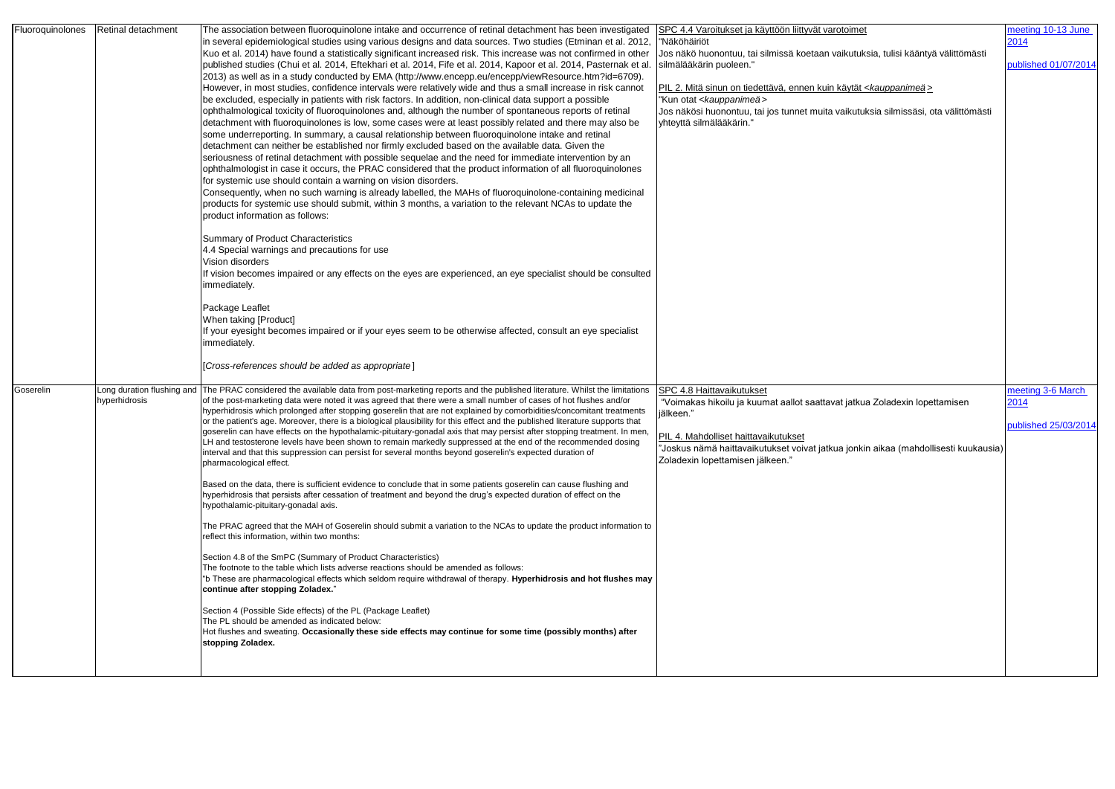| Fluoroquinolones | Retinal detachment | The association between fluoroquinolone intake and occurrence of retinal detachment has been investigated<br>In several epidemiological studies using various designs and data sources. Two studies (Etminan et al. 2012,<br>Kuo et al. 2014) have found a statistically significant increased risk. This increase was not confirmed in other<br>published studies (Chui et al. 2014, Eftekhari et al. 2014, Fife et al. 2014, Kapoor et al. 2014, Pasternak et al.<br>2013) as well as in a study conducted by EMA (http://www.encepp.eu/encepp/viewResource.htm?id=6709).<br>However, in most studies, confidence intervals were relatively wide and thus a small increase in risk cannot<br>be excluded, especially in patients with risk factors. In addition, non-clinical data support a possible<br>ophthalmological toxicity of fluoroquinolones and, although the number of spontaneous reports of retinal                                                                                                                                                                                                                                                                                                                                                                                                                                                                                                                                                                                                                                                                                                                                                                                                                                                                                                                                                                                                                                                      | SPC 4.4 Varoitukset ja käyttöön liittyvät varotoimet<br>"Näköhäiriöt<br>Jos näkö huonontuu, tai silmissä koetaan vaikutuksia, tulisi kääntyä välittömästi<br>silmälääkärin puoleen."<br>PIL 2. Mitä sinun on tiedettävä, ennen kuin käytät < <i>kauppanimeä</i> ><br>Kun otat <kauppanimeä><br/>Jos näkösi huonontuu, tai jos tunnet muita vaikutuksia silmissäsi, ota välittömästi</kauppanimeä> | meeting 10-13 June<br>2014<br>published 01/07/2014 |
|------------------|--------------------|--------------------------------------------------------------------------------------------------------------------------------------------------------------------------------------------------------------------------------------------------------------------------------------------------------------------------------------------------------------------------------------------------------------------------------------------------------------------------------------------------------------------------------------------------------------------------------------------------------------------------------------------------------------------------------------------------------------------------------------------------------------------------------------------------------------------------------------------------------------------------------------------------------------------------------------------------------------------------------------------------------------------------------------------------------------------------------------------------------------------------------------------------------------------------------------------------------------------------------------------------------------------------------------------------------------------------------------------------------------------------------------------------------------------------------------------------------------------------------------------------------------------------------------------------------------------------------------------------------------------------------------------------------------------------------------------------------------------------------------------------------------------------------------------------------------------------------------------------------------------------------------------------------------------------------------------------------------------------|---------------------------------------------------------------------------------------------------------------------------------------------------------------------------------------------------------------------------------------------------------------------------------------------------------------------------------------------------------------------------------------------------|----------------------------------------------------|
|                  |                    | detachment with fluoroquinolones is low, some cases were at least possibly related and there may also be<br>some underreporting. In summary, a causal relationship between fluoroquinolone intake and retinal<br>detachment can neither be established nor firmly excluded based on the available data. Given the<br>seriousness of retinal detachment with possible sequelae and the need for immediate intervention by an<br>ophthalmologist in case it occurs, the PRAC considered that the product information of all fluoroquinolones<br>for systemic use should contain a warning on vision disorders.<br>Consequently, when no such warning is already labelled, the MAHs of fluoroquinolone-containing medicinal<br>products for systemic use should submit, within 3 months, a variation to the relevant NCAs to update the<br>product information as follows:                                                                                                                                                                                                                                                                                                                                                                                                                                                                                                                                                                                                                                                                                                                                                                                                                                                                                                                                                                                                                                                                                                  | yhteyttä silmälääkärin."                                                                                                                                                                                                                                                                                                                                                                          |                                                    |
|                  |                    | Summary of Product Characteristics<br>4.4 Special warnings and precautions for use<br>Vision disorders<br>If vision becomes impaired or any effects on the eyes are experienced, an eye specialist should be consulted<br>immediately.                                                                                                                                                                                                                                                                                                                                                                                                                                                                                                                                                                                                                                                                                                                                                                                                                                                                                                                                                                                                                                                                                                                                                                                                                                                                                                                                                                                                                                                                                                                                                                                                                                                                                                                                   |                                                                                                                                                                                                                                                                                                                                                                                                   |                                                    |
|                  |                    | Package Leaflet<br>When taking [Product]<br>If your eyesight becomes impaired or if your eyes seem to be otherwise affected, consult an eye specialist<br>immediately.<br>[Cross-references should be added as appropriate]                                                                                                                                                                                                                                                                                                                                                                                                                                                                                                                                                                                                                                                                                                                                                                                                                                                                                                                                                                                                                                                                                                                                                                                                                                                                                                                                                                                                                                                                                                                                                                                                                                                                                                                                              |                                                                                                                                                                                                                                                                                                                                                                                                   |                                                    |
| Goserelin        | hyperhidrosis      | Long duration flushing and The PRAC considered the available data from post-marketing reports and the published literature. Whilst the limitations<br>of the post-marketing data were noted it was agreed that there were a small number of cases of hot flushes and/or<br>hyperhidrosis which prolonged after stopping goserelin that are not explained by comorbidities/concomitant treatments<br>or the patient's age. Moreover, there is a biological plausibility for this effect and the published literature supports that<br>goserelin can have effects on the hypothalamic-pituitary-gonadal axis that may persist after stopping treatment. In men,<br>ILH and testosterone levels have been shown to remain markedly suppressed at the end of the recommended dosing<br>interval and that this suppression can persist for several months beyond goserelin's expected duration of<br>pharmacological effect.<br>Based on the data, there is sufficient evidence to conclude that in some patients goserelin can cause flushing and<br>hyperhidrosis that persists after cessation of treatment and beyond the drug's expected duration of effect on the<br>hypothalamic-pituitary-gonadal axis.<br>The PRAC agreed that the MAH of Goserelin should submit a variation to the NCAs to update the product information to<br>reflect this information, within two months:<br>Section 4.8 of the SmPC (Summary of Product Characteristics)<br>The footnote to the table which lists adverse reactions should be amended as follows:<br><sup>4</sup> b These are pharmacological effects which seldom require withdrawal of therapy. Hyperhidrosis and hot flushes may<br>continue after stopping Zoladex."<br>Section 4 (Possible Side effects) of the PL (Package Leaflet)<br>The PL should be amended as indicated below:<br>Hot flushes and sweating. Occasionally these side effects may continue for some time (possibly months) after<br>stopping Zoladex. | SPC 4.8 Haittavaikutukset<br>"Voimakas hikoilu ja kuumat aallot saattavat jatkua Zoladexin lopettamisen<br>jälkeen.'<br>PIL 4. Mahdolliset haittavaikutukset<br>'Joskus nämä haittavaikutukset voivat jatkua jonkin aikaa (mahdollisesti kuukausia)<br>Zoladexin lopettamisen jälkeen."                                                                                                           | meeting 3-6 March<br>2014<br>published 25/03/2014  |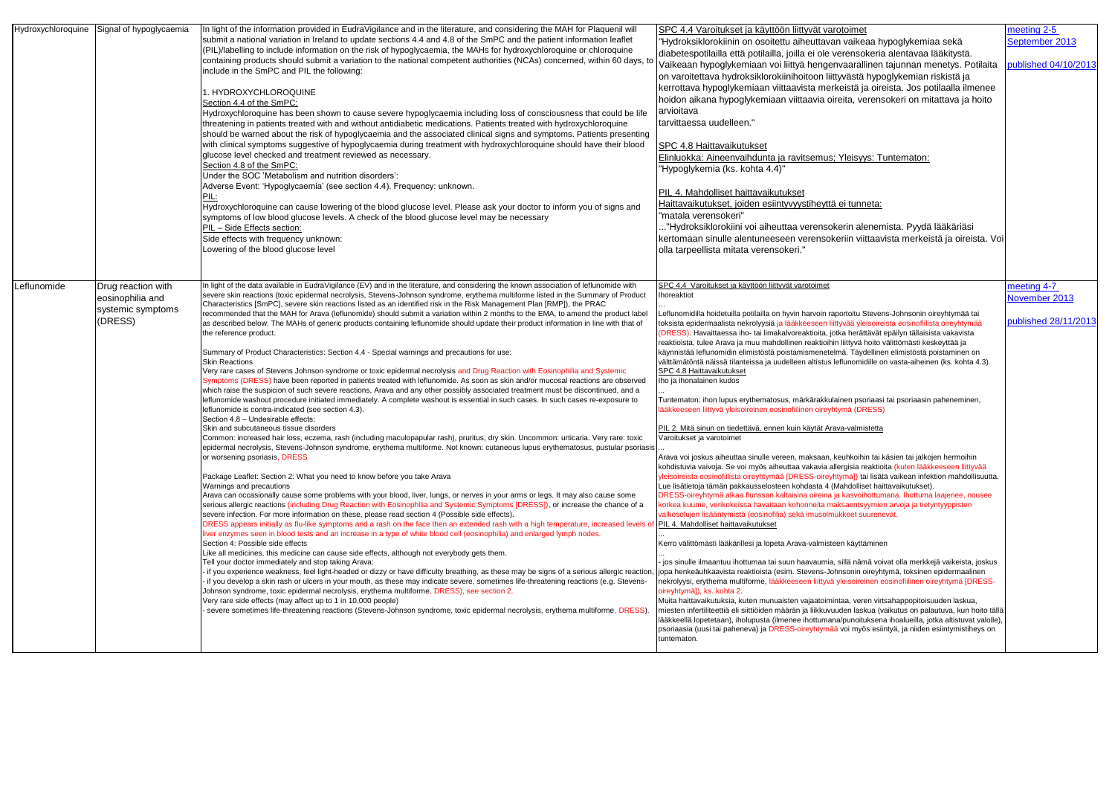| Hydroxychloroquine<br>Signal of hypoglycaemia                                         | In light of the information provided in EudraVigilance and in the literature, and considering the MAH for Plaquenil will<br>submit a national variation in Ireland to update sections 4.4 and 4.8 of the SmPC and the patient information leaflet<br>(PIL)/labelling to include information on the risk of hypoglycaemia, the MAHs for hydroxychloroquine or chloroquine<br>containing products should submit a variation to the national competent authorities (NCAs) concerned, within 60 days, to<br>include in the SmPC and PIL the following:<br>I. HYDROXYCHLOROQUINE<br>Section 4.4 of the SmPC:<br>Hydroxychloroquine has been shown to cause severe hypoglycaemia including loss of consciousness that could be life<br>threatening in patients treated with and without antidiabetic medications. Patients treated with hydroxychloroquine<br>should be warned about the risk of hypoglycaemia and the associated clinical signs and symptoms. Patients presenting<br>with clinical symptoms suggestive of hypoglycaemia during treatment with hydroxychloroquine should have their blood<br>glucose level checked and treatment reviewed as necessary.<br>Section 4.8 of the SmPC:<br>Under the SOC 'Metabolism and nutrition disorders':<br>Adverse Event: 'Hypoglycaemia' (see section 4.4). Frequency: unknown.<br>Hydroxychloroquine can cause lowering of the blood glucose level. Please ask your doctor to inform you of signs and<br>symptoms of low blood glucose levels. A check of the blood glucose level may be necessary<br>PIL - Side Effects section:<br>Side effects with frequency unknown:<br>Lowering of the blood glucose level                                                                                                                                                                                                                                                                                                                                                                                                                                                                                                                                                                                                                                                                                                                                                                                                                                                                                                                                                                                                                                                                                                                                                                                                                                                                                                                                                                                                                                                                                                                                                                                                                                                                                                               | SPC 4.4 Varoitukset ja käyttöön liittyvät varotoimet<br>'Hydroksiklorokiinin on osoitettu aiheuttavan vaikeaa hypoglykemiaa sekä<br>diabetespotilailla että potilailla, joilla ei ole verensokeria alentavaa lääkitystä.<br>Vaikeaan hypoglykemiaan voi liittyä hengenvaarallinen tajunnan menetys. Potilaita<br>on varoitettava hydroksiklorokiinihoitoon liittyvästä hypoglykemian riskistä ja<br>kerrottava hypoglykemiaan viittaavista merkeistä ja oireista. Jos potilaalla ilmenee<br>hoidon aikana hypoglykemiaan viittaavia oireita, verensokeri on mitattava ja hoito<br>arvioitava<br>tarvittaessa uudelleen."<br>SPC 4.8 Haittavaikutukset<br>Elinluokka: Aineenvaihdunta ja ravitsemus; Yleisyys: Tuntematon:<br>"Hypoglykemia (ks. kohta 4.4)"<br>PIL 4. Mahdolliset haittavaikutukset<br>Haittavaikutukset, joiden esiintyvyystiheyttä ei tunneta:<br>"matala verensokeri"<br>."Hydroksiklorokiini voi aiheuttaa verensokerin alenemista. Pyydä lääkäriäsi<br>kertomaan sinulle alentuneeseen verensokeriin viittaavista merkeistä ja oireista. Voi<br>olla tarpeellista mitata verensokeri."                                                                                                                                                                                                                                                                                                                                                                                                                                                                                                                                                                                                                                                                                                                                                                                                                                                                                                                                                                                                                                                                                                                                                                                                                                                                                                                                                                                                                                                                                                                                                               | meeting 2-5<br>September 2013<br>published 04/10/201 |
|---------------------------------------------------------------------------------------|-------------------------------------------------------------------------------------------------------------------------------------------------------------------------------------------------------------------------------------------------------------------------------------------------------------------------------------------------------------------------------------------------------------------------------------------------------------------------------------------------------------------------------------------------------------------------------------------------------------------------------------------------------------------------------------------------------------------------------------------------------------------------------------------------------------------------------------------------------------------------------------------------------------------------------------------------------------------------------------------------------------------------------------------------------------------------------------------------------------------------------------------------------------------------------------------------------------------------------------------------------------------------------------------------------------------------------------------------------------------------------------------------------------------------------------------------------------------------------------------------------------------------------------------------------------------------------------------------------------------------------------------------------------------------------------------------------------------------------------------------------------------------------------------------------------------------------------------------------------------------------------------------------------------------------------------------------------------------------------------------------------------------------------------------------------------------------------------------------------------------------------------------------------------------------------------------------------------------------------------------------------------------------------------------------------------------------------------------------------------------------------------------------------------------------------------------------------------------------------------------------------------------------------------------------------------------------------------------------------------------------------------------------------------------------------------------------------------------------------------------------------------------------------------------------------------------------------------------------------------------------------------------------------------------------------------------------------------------------------------------------------------------------------------------------------------------------------------------------------------------------------------------------------------------------------------------------------------------------------------------------------------------------------------------------------------------------------------------------------------------------|---------------------------------------------------------------------------------------------------------------------------------------------------------------------------------------------------------------------------------------------------------------------------------------------------------------------------------------------------------------------------------------------------------------------------------------------------------------------------------------------------------------------------------------------------------------------------------------------------------------------------------------------------------------------------------------------------------------------------------------------------------------------------------------------------------------------------------------------------------------------------------------------------------------------------------------------------------------------------------------------------------------------------------------------------------------------------------------------------------------------------------------------------------------------------------------------------------------------------------------------------------------------------------------------------------------------------------------------------------------------------------------------------------------------------------------------------------------------------------------------------------------------------------------------------------------------------------------------------------------------------------------------------------------------------------------------------------------------------------------------------------------------------------------------------------------------------------------------------------------------------------------------------------------------------------------------------------------------------------------------------------------------------------------------------------------------------------------------------------------------------------------------------------------------------------------------------------------------------------------------------------------------------------------------------------------------------------------------------------------------------------------------------------------------------------------------------------------------------------------------------------------------------------------------------------------------------------------------------------------------------------------------------------------------------|------------------------------------------------------|
| Leflunomide<br>Drug reaction with<br>eosinophilia and<br>systemic symptoms<br>(DRESS) | In light of the data available in EudraVigilance (EV) and in the literature, and considering the known association of leflunomide with<br>severe skin reactions (toxic epidermal necrolysis, Stevens-Johnson syndrome, erythema multiforme listed in the Summary of Product<br>Characteristics [SmPC], severe skin reactions listed as an identified risk in the Risk Management Plan [RMP]), the PRAC<br>recommended that the MAH for Arava (leflunomide) should submit a variation within 2 months to the EMA, to amend the product label<br>as described below. The MAHs of generic products containing leflunomide should update their product information in line with that of<br>the reference product.<br>Summary of Product Characteristics: Section 4.4 - Special warnings and precautions for use:<br><b>Skin Reactions</b><br>Very rare cases of Stevens Johnson syndrome or toxic epidermal necrolysis and Drug Reaction with Eosinophilia and Systemic<br>Symptoms (DRESS) have been reported in patients treated with leflunomide. As soon as skin and/or mucosal reactions are observed<br>which raise the suspicion of such severe reactions, Arava and any other possibly associated treatment must be discontinued, and a<br>leflunomide washout procedure initiated immediately. A complete washout is essential in such cases. In such cases re-exposure to<br>leflunomide is contra-indicated (see section 4.3).<br>Section 4.8 - Undesirable effects:<br>Skin and subcutaneous tissue disorders<br>Common: increased hair loss, eczema, rash (including maculopapular rash), pruritus, dry skin. Uncommon: urticaria. Very rare: toxic<br>epidermal necrolysis, Stevens-Johnson syndrome, erythema multiforme. Not known: cutaneous lupus erythematosus, pustular psoriasis<br>or worsening psoriasis, DRESS<br>Package Leaflet: Section 2: What you need to know before you take Arava<br>Warnings and precautions<br>Arava can occasionally cause some problems with your blood, liver, lungs, or nerves in your arms or legs. It may also cause some<br>serious allergic reactions (including Drug Reaction with Eosinophilia and Systemic Symptoms [DRESS]), or increase the chance of a<br>severe infection. For more information on these, please read section 4 (Possible side effects).<br>DRESS appears initially as flu-like symptoms and a rash on the face then an extended rash with a high temperature, increased levels o<br>liver enzymes seen in blood tests and an increase in a type of white blood cell (eosinophilia) and enlarged lymph nodes.<br>Section 4: Possible side effects<br>Like all medicines, this medicine can cause side effects, although not everybody gets them.<br>Tell your doctor immediately and stop taking Arava:<br>- if you experience weakness, feel light-headed or dizzy or have difficulty breathing, as these may be signs of a serious allergic reaction<br>- if you develop a skin rash or ulcers in your mouth, as these may indicate severe, sometimes life-threatening reactions (e.g. Stevens-<br>Johnson syndrome, toxic epidermal necrolysis, erythema multiforme, DRESS), see section 2.<br>Very rare side effects (may affect up to 1 in 10,000 people)<br>severe sometimes life-threatening reactions (Stevens-Johnson syndrome, toxic epidermal necrolysis, erythema multiforme, DRESS) | SPC 4.4 Varoitukset ja käyttöön liittyvät varotoimet<br>horeaktiot<br>Leflunomidilla hoidetuilla potilailla on hyvin harvoin raportoitu Stevens-Johnsonin oireyhtymää tai<br>toksista epidermaalista nekrolyysiä ja lääkkeeseen liittyvää yleisoireista eosinofiilista oireyhtymää<br>DRESS). Havaittaessa iho- tai limakalvoreaktioita, jotka herättävät epäilyn tällaisista vakavista<br>reaktioista, tulee Arava ja muu mahdollinen reaktioihin liittyvä hoito välittömästi keskeyttää ja<br>käynnistää leflunomidin elimistöstä poistamismenetelmä. Täydellinen elimistöstä poistaminen on<br>välttämätöntä näissä tilanteissa ja uudelleen altistus leflunomidille on vasta-aiheinen (ks. kohta 4.3).<br>SPC 4.8 Haittavaikutukset<br>Iho ja ihonalainen kudos<br>Tuntematon: ihon lupus erythematosus, märkärakkulainen psoriaasi tai psoriaasin paheneminen,<br>ääkkeeseen liittyvä yleisoireinen eosinofiilinen oireyhtymä (DRESS)<br>PIL 2. Mitä sinun on tiedettävä, ennen kuin käytät Arava-valmistetta<br>Varoitukset ja varotoimet<br>Arava voi joskus aiheuttaa sinulle vereen, maksaan, keuhkoihin tai käsien tai jalkojen hermoihin<br>kohdistuvia vaivoja. Se voi myös aiheuttaa vakavia allergisia reaktioita (kuten lääkkeeseen liittyvää<br>/leisoireista eosinofiilista oireyhtymää [DRESS-oireyhtymä]) tai lisätä vaikean infektion mahdollisuutta.<br>Lue lisätietoja tämän pakkausselosteen kohdasta 4 (Mahdolliset haittavaikutukset).<br>DRESS-oireyhtymä alkaa flunssan kaltaisina oireina ja kasvoihottumana. Ihottuma laajenee, nousee<br>korkea kuume, verikokeissa havaitaan kohonneita maksaentsyymien arvoja ja tietyntyyppisten<br>valkosolujen lisääntymistä (eosinofilia) sekä imusolmukkeet suurenevat.<br>PIL 4. Mahdolliset haittavaikutukset<br>Kerro välittömästi lääkärillesi ja lopeta Arava-valmisteen käyttäminen<br>jos sinulle ilmaantuu ihottumaa tai suun haavaumia, sillä nämä voivat olla merkkejä vaikeista, joskus<br>jopa henkeäuhkaavista reaktioista (esim. Stevens-Johnsonin oireyhtymä, toksinen epidermaalinen<br>nekrolyysi, erythema multiforme, lääkkeeseen liittyvä yleisoireinen eosinofiilinen oireyhtymä [DRESS-<br>oireyhtymä]), ks. kohta 2.<br>Muita haittavaikutuksia, kuten munuaisten vajaatoimintaa, veren virtsahappopitoisuuden laskua,<br>miesten infertiliteettiä eli siittiöiden määrän ja liikkuvuuden laskua (vaikutus on palautuva, kun hoito tällä<br>lääkkeellä lopetetaan), iholupusta (ilmenee ihottumana/punoituksena ihoalueilla, jotka altistuvat valolle),<br>psoriaasia (uusi tai paheneva) ja DRESS-oireyhtymää voi myös esiintyä, ja niiden esiintymistiheys on<br>untematon. | meeting 4-7<br>November 2013<br>published 28/11/2013 |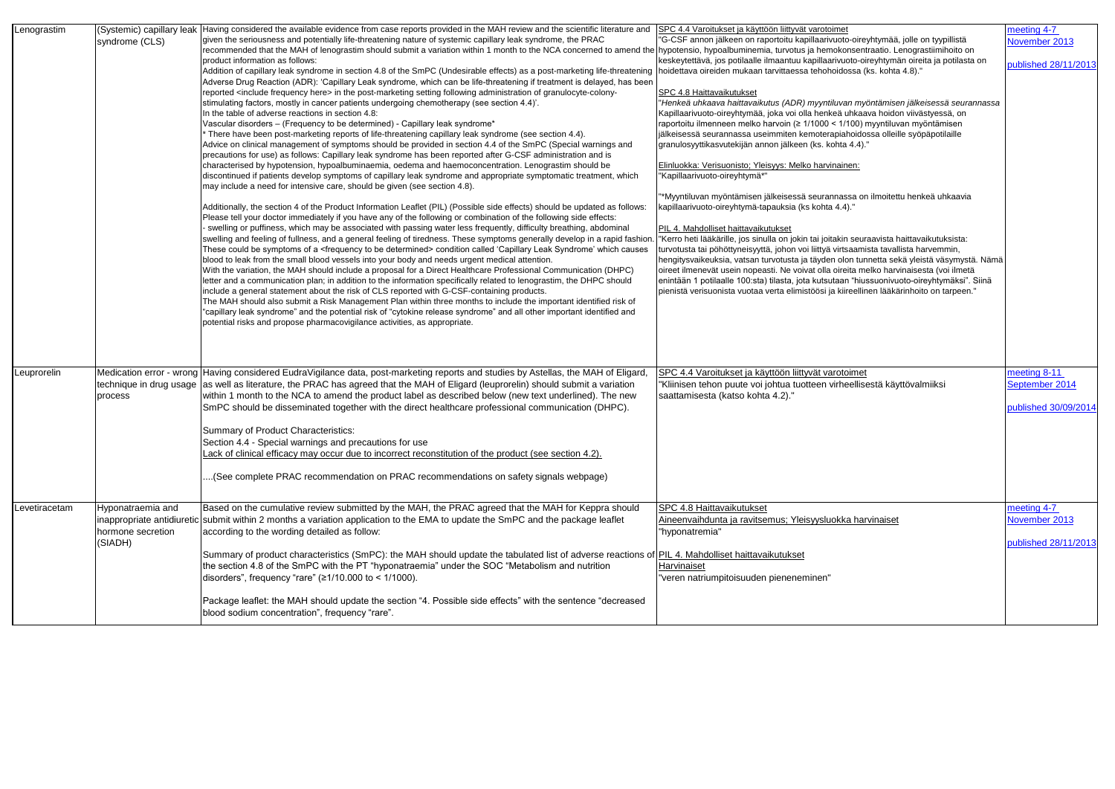| given the seriousness and potentially life-threatening nature of systemic capillary leak syndrome, the PRAC<br>"G-CSF annon jälkeen on raportoitu kapillaarivuoto-oireyhtymää, jolle on tyypillistä<br>November 2013<br>syndrome (CLS)<br>recommended that the MAH of lenograstim should submit a variation within 1 month to the NCA concerned to amend the hypotensio, hypoalbuminemia, turvotus ja hemokonsentraatio. Lenograstiimihoito on<br>product information as follows:<br>keskeytettävä, jos potilaalle ilmaantuu kapillaarivuoto-oireyhtymän oireita ja potilasta on<br>published 28/11/2013<br>Addition of capillary leak syndrome in section 4.8 of the SmPC (Undesirable effects) as a post-marketing life-threatening  hoidettava oireiden mukaan tarvittaessa tehohoidossa (ks. kohta 4.8)."<br>Adverse Drug Reaction (ADR): 'Capillary Leak syndrome, which can be life-threatening if treatment is delayed, has been<br>reported <include frequency="" here=""> in the post-marketing setting following administration of granulocyte-colony-<br/>SPC 4.8 Haittavaikutukset<br/>stimulating factors, mostly in cancer patients undergoing chemotherapy (see section 4.4)'.<br/>"Henkeä uhkaava haittavaikutus (ADR) myyntiluvan myöntämisen jälkeisessä seurannassa<br/>In the table of adverse reactions in section 4.8:<br/>Kapillaarivuoto-oireyhtymää, joka voi olla henkeä uhkaava hoidon viivästyessä, on<br/>Vascular disorders - (Frequency to be determined) - Capillary leak syndrome*<br/>raportoitu ilmenneen melko harvoin (≥ 1/1000 &lt; 1/100) myyntiluvan myöntämisen<br/>There have been post-marketing reports of life-threatening capillary leak syndrome (see section 4.4).<br/>jälkeisessä seurannassa useimmiten kemoterapiahoidossa olleille syöpäpotilaille<br/>Advice on clinical management of symptoms should be provided in section 4.4 of the SmPC (Special warnings and<br/>granulosyyttikasvutekijän annon jälkeen (ks. kohta 4.4)."<br/>precautions for use) as follows: Capillary leak syndrome has been reported after G-CSF administration and is<br/>characterised by hypotension, hypoalbuminaemia, oedema and haemoconcentration. Lenograstim should be<br/>Elinluokka: Verisuonisto; Yleisyys: Melko harvinainen:<br/>discontinued if patients develop symptoms of capillary leak syndrome and appropriate symptomatic treatment, which<br/>"Kapillaarivuoto-oireyhtymä*"<br/>may include a need for intensive care, should be given (see section 4.8).<br/>*Myyntiluvan myöntämisen jälkeisessä seurannassa on ilmoitettu henkeä uhkaavia<br/>Additionally, the section 4 of the Product Information Leaflet (PIL) (Possible side effects) should be updated as follows:<br/>kapillaarivuoto-oireyhtymä-tapauksia (ks kohta 4.4)."<br/>Please tell your doctor immediately if you have any of the following or combination of the following side effects:<br/>- swelling or puffiness, which may be associated with passing water less frequently, difficulty breathing, abdominal<br/>PIL 4. Mahdolliset haittavaikutukset<br/>swelling and feeling of fullness, and a general feeling of tiredness. These symptoms generally develop in a rapid fashion<br/>"Kerro heti lääkärille, jos sinulla on jokin tai joitakin seuraavista haittavaikutuksista:<br/>These could be symptoms of a <frequency be="" determined="" to=""> condition called 'Capillary Leak Syndrome' which causes<br/>urvotusta tai pöhöttyneisyyttä, johon voi liittyä virtsaamista tavallista harvemmin,<br/>blood to leak from the small blood vessels into your body and needs urgent medical attention.<br/>hengitysvaikeuksia, vatsan turvotusta ja täyden olon tunnetta sekä yleistä väsymystä. Nämä<br/>With the variation, the MAH should include a proposal for a Direct Healthcare Professional Communication (DHPC)<br/>oireet ilmenevät usein nopeasti. Ne voivat olla oireita melko harvinaisesta (voi ilmetä<br/>letter and a communication plan; in addition to the information specifically related to lenograstim, the DHPC should<br/>enintään 1 potilaalle 100:sta) tilasta, jota kutsutaan "hiussuonivuoto-oireyhtymäksi". Siinä<br/>include a general statement about the risk of CLS reported with G-CSF-containing products.<br/>pienistä verisuonista vuotaa verta elimistöösi ja kiireellinen lääkärinhoito on tarpeen."<br/>The MAH should also submit a Risk Management Plan within three months to include the important identified risk of<br/>"capillary leak syndrome" and the potential risk of "cytokine release syndrome" and all other important identified and<br/>potential risks and propose pharmacovigilance activities, as appropriate.<br/>Medication error - wrong Having considered EudraVigilance data, post-marketing reports and studies by Astellas, the MAH of Eligard,<br/>meeting 8-11<br/>SPC 4.4 Varoitukset ja käyttöön liittyvät varotoimet<br/>Leuprorelin<br/>September 2014<br/>technique in drug usage ass well as literature, the PRAC has agreed that the MAH of Eligard (leuprorelin) should submit a variation<br/>"Kliinisen tehon puute voi johtua tuotteen virheellisestä käyttövalmiiksi<br/>within 1 month to the NCA to amend the product label as described below (new text underlined). The new<br/>saattamisesta (katso kohta 4.2)."<br/>process<br/>SmPC should be disseminated together with the direct healthcare professional communication (DHPC).<br/>published 30/09/2014<br/>Summary of Product Characteristics:<br/>Section 4.4 - Special warnings and precautions for use<br/>Lack of clinical efficacy may occur due to incorrect reconstitution of the product (see section 4.2).<br/>(See complete PRAC recommendation on PRAC recommendations on safety signals webpage).<br/>Based on the cumulative review submitted by the MAH, the PRAC agreed that the MAH for Keppra should<br/>SPC 4.8 Haittavaikutukset<br/>meeting 4-7<br/>Hyponatraemia and<br/>November 2013<br/>inappropriate antidiuretic submit within 2 months a variation application to the EMA to update the SmPC and the package leaflet<br/>Aineenvaihdunta ja ravitsemus; Yleisyysluokka harvinaiset<br/>hormone secretion<br/>according to the wording detailed as follow:<br/>"hyponatremia"<br/>(SIADH)<br/>published 28/11/2013<br/>Summary of product characteristics (SmPC): the MAH should update the tabulated list of adverse reactions of PIL 4. Mahdolliset haittavaikutukset<br/>the section 4.8 of the SmPC with the PT "hyponatraemia" under the SOC "Metabolism and nutrition<br/>Harvinaiset<br/>disorders", frequency "rare" (<math>\geq</math>1/10.000 to &lt; 1/1000).<br/>"veren natriumpitoisuuden pieneneminen"<br/>Package leaflet: the MAH should update the section "4. Possible side effects" with the sentence "decreased<br/>blood sodium concentration", frequency "rare".</frequency></include> | Lenograstim   | (Systemic) capillary leak | Having considered the available evidence from case reports provided in the MAH review and the scientific literature and | SPC 4.4 Varoitukset ja käyttöön liittyvät varotoimet | meeting 4-7 |
|----------------------------------------------------------------------------------------------------------------------------------------------------------------------------------------------------------------------------------------------------------------------------------------------------------------------------------------------------------------------------------------------------------------------------------------------------------------------------------------------------------------------------------------------------------------------------------------------------------------------------------------------------------------------------------------------------------------------------------------------------------------------------------------------------------------------------------------------------------------------------------------------------------------------------------------------------------------------------------------------------------------------------------------------------------------------------------------------------------------------------------------------------------------------------------------------------------------------------------------------------------------------------------------------------------------------------------------------------------------------------------------------------------------------------------------------------------------------------------------------------------------------------------------------------------------------------------------------------------------------------------------------------------------------------------------------------------------------------------------------------------------------------------------------------------------------------------------------------------------------------------------------------------------------------------------------------------------------------------------------------------------------------------------------------------------------------------------------------------------------------------------------------------------------------------------------------------------------------------------------------------------------------------------------------------------------------------------------------------------------------------------------------------------------------------------------------------------------------------------------------------------------------------------------------------------------------------------------------------------------------------------------------------------------------------------------------------------------------------------------------------------------------------------------------------------------------------------------------------------------------------------------------------------------------------------------------------------------------------------------------------------------------------------------------------------------------------------------------------------------------------------------------------------------------------------------------------------------------------------------------------------------------------------------------------------------------------------------------------------------------------------------------------------------------------------------------------------------------------------------------------------------------------------------------------------------------------------------------------------------------------------------------------------------------------------------------------------------------------------------------------------------------------------------------------------------------------------------------------------------------------------------------------------------------------------------------------------------------------------------------------------------------------------------------------------------------------------------------------------------------------------------------------------------------------------------------------------------------------------------------------------------------------------------------------------------------------------------------------------------------------------------------------------------------------------------------------------------------------------------------------------------------------------------------------------------------------------------------------------------------------------------------------------------------------------------------------------------------------------------------------------------------------------------------------------------------------------------------------------------------------------------------------------------------------------------------------------------------------------------------------------------------------------------------------------------------------------------------------------------------------------------------------------------------------------------------------------------------------------------------------------------------------------------------------------------------------------------------------------------------------------------------------------------------------------------------------------------------------------------------------------------------------------------------------------------------------------------------------------------------------------------------------------------------------------------------------------------------------------------------------------------------------------------------------------------------------------------------------------------------------------------------------------------------------------------------------------------------------------------------------------------------------------------------------------------------------------------------------------------------------------------------------------------------------------------------------------------------------------------------------------------------------------------------------------------------------------------------------------------------------------------------------------------------------------------------------------------------------------------------------------------------------------------------------------------------------------------------------------------------------------------------------------------------------------------------------------------------------------------------------------------------------------------------------------------------------------------------------------------------------------------------------------------------|---------------|---------------------------|-------------------------------------------------------------------------------------------------------------------------|------------------------------------------------------|-------------|
|                                                                                                                                                                                                                                                                                                                                                                                                                                                                                                                                                                                                                                                                                                                                                                                                                                                                                                                                                                                                                                                                                                                                                                                                                                                                                                                                                                                                                                                                                                                                                                                                                                                                                                                                                                                                                                                                                                                                                                                                                                                                                                                                                                                                                                                                                                                                                                                                                                                                                                                                                                                                                                                                                                                                                                                                                                                                                                                                                                                                                                                                                                                                                                                                                                                                                                                                                                                                                                                                                                                                                                                                                                                                                                                                                                                                                                                                                                                                                                                                                                                                                                                                                                                                                                                                                                                                                                                                                                                                                                                                                                                                                                                                                                                                                                                                                                                                                                                                                                                                                                                                                                                                                                                                                                                                                                                                                                                                                                                                                                                                                                                                                                                                                                                                                                                                                                                                                                                                                                                                                                                                                                                                                                                                                                                                                                                                                                                                                                                                                                                                                                                                                                                                                                                                                                                                                                                                                                                            |               |                           |                                                                                                                         |                                                      |             |
|                                                                                                                                                                                                                                                                                                                                                                                                                                                                                                                                                                                                                                                                                                                                                                                                                                                                                                                                                                                                                                                                                                                                                                                                                                                                                                                                                                                                                                                                                                                                                                                                                                                                                                                                                                                                                                                                                                                                                                                                                                                                                                                                                                                                                                                                                                                                                                                                                                                                                                                                                                                                                                                                                                                                                                                                                                                                                                                                                                                                                                                                                                                                                                                                                                                                                                                                                                                                                                                                                                                                                                                                                                                                                                                                                                                                                                                                                                                                                                                                                                                                                                                                                                                                                                                                                                                                                                                                                                                                                                                                                                                                                                                                                                                                                                                                                                                                                                                                                                                                                                                                                                                                                                                                                                                                                                                                                                                                                                                                                                                                                                                                                                                                                                                                                                                                                                                                                                                                                                                                                                                                                                                                                                                                                                                                                                                                                                                                                                                                                                                                                                                                                                                                                                                                                                                                                                                                                                                            |               |                           |                                                                                                                         |                                                      |             |
|                                                                                                                                                                                                                                                                                                                                                                                                                                                                                                                                                                                                                                                                                                                                                                                                                                                                                                                                                                                                                                                                                                                                                                                                                                                                                                                                                                                                                                                                                                                                                                                                                                                                                                                                                                                                                                                                                                                                                                                                                                                                                                                                                                                                                                                                                                                                                                                                                                                                                                                                                                                                                                                                                                                                                                                                                                                                                                                                                                                                                                                                                                                                                                                                                                                                                                                                                                                                                                                                                                                                                                                                                                                                                                                                                                                                                                                                                                                                                                                                                                                                                                                                                                                                                                                                                                                                                                                                                                                                                                                                                                                                                                                                                                                                                                                                                                                                                                                                                                                                                                                                                                                                                                                                                                                                                                                                                                                                                                                                                                                                                                                                                                                                                                                                                                                                                                                                                                                                                                                                                                                                                                                                                                                                                                                                                                                                                                                                                                                                                                                                                                                                                                                                                                                                                                                                                                                                                                                            |               |                           |                                                                                                                         |                                                      |             |
|                                                                                                                                                                                                                                                                                                                                                                                                                                                                                                                                                                                                                                                                                                                                                                                                                                                                                                                                                                                                                                                                                                                                                                                                                                                                                                                                                                                                                                                                                                                                                                                                                                                                                                                                                                                                                                                                                                                                                                                                                                                                                                                                                                                                                                                                                                                                                                                                                                                                                                                                                                                                                                                                                                                                                                                                                                                                                                                                                                                                                                                                                                                                                                                                                                                                                                                                                                                                                                                                                                                                                                                                                                                                                                                                                                                                                                                                                                                                                                                                                                                                                                                                                                                                                                                                                                                                                                                                                                                                                                                                                                                                                                                                                                                                                                                                                                                                                                                                                                                                                                                                                                                                                                                                                                                                                                                                                                                                                                                                                                                                                                                                                                                                                                                                                                                                                                                                                                                                                                                                                                                                                                                                                                                                                                                                                                                                                                                                                                                                                                                                                                                                                                                                                                                                                                                                                                                                                                                            |               |                           |                                                                                                                         |                                                      |             |
|                                                                                                                                                                                                                                                                                                                                                                                                                                                                                                                                                                                                                                                                                                                                                                                                                                                                                                                                                                                                                                                                                                                                                                                                                                                                                                                                                                                                                                                                                                                                                                                                                                                                                                                                                                                                                                                                                                                                                                                                                                                                                                                                                                                                                                                                                                                                                                                                                                                                                                                                                                                                                                                                                                                                                                                                                                                                                                                                                                                                                                                                                                                                                                                                                                                                                                                                                                                                                                                                                                                                                                                                                                                                                                                                                                                                                                                                                                                                                                                                                                                                                                                                                                                                                                                                                                                                                                                                                                                                                                                                                                                                                                                                                                                                                                                                                                                                                                                                                                                                                                                                                                                                                                                                                                                                                                                                                                                                                                                                                                                                                                                                                                                                                                                                                                                                                                                                                                                                                                                                                                                                                                                                                                                                                                                                                                                                                                                                                                                                                                                                                                                                                                                                                                                                                                                                                                                                                                                            |               |                           |                                                                                                                         |                                                      |             |
|                                                                                                                                                                                                                                                                                                                                                                                                                                                                                                                                                                                                                                                                                                                                                                                                                                                                                                                                                                                                                                                                                                                                                                                                                                                                                                                                                                                                                                                                                                                                                                                                                                                                                                                                                                                                                                                                                                                                                                                                                                                                                                                                                                                                                                                                                                                                                                                                                                                                                                                                                                                                                                                                                                                                                                                                                                                                                                                                                                                                                                                                                                                                                                                                                                                                                                                                                                                                                                                                                                                                                                                                                                                                                                                                                                                                                                                                                                                                                                                                                                                                                                                                                                                                                                                                                                                                                                                                                                                                                                                                                                                                                                                                                                                                                                                                                                                                                                                                                                                                                                                                                                                                                                                                                                                                                                                                                                                                                                                                                                                                                                                                                                                                                                                                                                                                                                                                                                                                                                                                                                                                                                                                                                                                                                                                                                                                                                                                                                                                                                                                                                                                                                                                                                                                                                                                                                                                                                                            |               |                           |                                                                                                                         |                                                      |             |
|                                                                                                                                                                                                                                                                                                                                                                                                                                                                                                                                                                                                                                                                                                                                                                                                                                                                                                                                                                                                                                                                                                                                                                                                                                                                                                                                                                                                                                                                                                                                                                                                                                                                                                                                                                                                                                                                                                                                                                                                                                                                                                                                                                                                                                                                                                                                                                                                                                                                                                                                                                                                                                                                                                                                                                                                                                                                                                                                                                                                                                                                                                                                                                                                                                                                                                                                                                                                                                                                                                                                                                                                                                                                                                                                                                                                                                                                                                                                                                                                                                                                                                                                                                                                                                                                                                                                                                                                                                                                                                                                                                                                                                                                                                                                                                                                                                                                                                                                                                                                                                                                                                                                                                                                                                                                                                                                                                                                                                                                                                                                                                                                                                                                                                                                                                                                                                                                                                                                                                                                                                                                                                                                                                                                                                                                                                                                                                                                                                                                                                                                                                                                                                                                                                                                                                                                                                                                                                                            |               |                           |                                                                                                                         |                                                      |             |
|                                                                                                                                                                                                                                                                                                                                                                                                                                                                                                                                                                                                                                                                                                                                                                                                                                                                                                                                                                                                                                                                                                                                                                                                                                                                                                                                                                                                                                                                                                                                                                                                                                                                                                                                                                                                                                                                                                                                                                                                                                                                                                                                                                                                                                                                                                                                                                                                                                                                                                                                                                                                                                                                                                                                                                                                                                                                                                                                                                                                                                                                                                                                                                                                                                                                                                                                                                                                                                                                                                                                                                                                                                                                                                                                                                                                                                                                                                                                                                                                                                                                                                                                                                                                                                                                                                                                                                                                                                                                                                                                                                                                                                                                                                                                                                                                                                                                                                                                                                                                                                                                                                                                                                                                                                                                                                                                                                                                                                                                                                                                                                                                                                                                                                                                                                                                                                                                                                                                                                                                                                                                                                                                                                                                                                                                                                                                                                                                                                                                                                                                                                                                                                                                                                                                                                                                                                                                                                                            |               |                           |                                                                                                                         |                                                      |             |
|                                                                                                                                                                                                                                                                                                                                                                                                                                                                                                                                                                                                                                                                                                                                                                                                                                                                                                                                                                                                                                                                                                                                                                                                                                                                                                                                                                                                                                                                                                                                                                                                                                                                                                                                                                                                                                                                                                                                                                                                                                                                                                                                                                                                                                                                                                                                                                                                                                                                                                                                                                                                                                                                                                                                                                                                                                                                                                                                                                                                                                                                                                                                                                                                                                                                                                                                                                                                                                                                                                                                                                                                                                                                                                                                                                                                                                                                                                                                                                                                                                                                                                                                                                                                                                                                                                                                                                                                                                                                                                                                                                                                                                                                                                                                                                                                                                                                                                                                                                                                                                                                                                                                                                                                                                                                                                                                                                                                                                                                                                                                                                                                                                                                                                                                                                                                                                                                                                                                                                                                                                                                                                                                                                                                                                                                                                                                                                                                                                                                                                                                                                                                                                                                                                                                                                                                                                                                                                                            |               |                           |                                                                                                                         |                                                      |             |
|                                                                                                                                                                                                                                                                                                                                                                                                                                                                                                                                                                                                                                                                                                                                                                                                                                                                                                                                                                                                                                                                                                                                                                                                                                                                                                                                                                                                                                                                                                                                                                                                                                                                                                                                                                                                                                                                                                                                                                                                                                                                                                                                                                                                                                                                                                                                                                                                                                                                                                                                                                                                                                                                                                                                                                                                                                                                                                                                                                                                                                                                                                                                                                                                                                                                                                                                                                                                                                                                                                                                                                                                                                                                                                                                                                                                                                                                                                                                                                                                                                                                                                                                                                                                                                                                                                                                                                                                                                                                                                                                                                                                                                                                                                                                                                                                                                                                                                                                                                                                                                                                                                                                                                                                                                                                                                                                                                                                                                                                                                                                                                                                                                                                                                                                                                                                                                                                                                                                                                                                                                                                                                                                                                                                                                                                                                                                                                                                                                                                                                                                                                                                                                                                                                                                                                                                                                                                                                                            |               |                           |                                                                                                                         |                                                      |             |
|                                                                                                                                                                                                                                                                                                                                                                                                                                                                                                                                                                                                                                                                                                                                                                                                                                                                                                                                                                                                                                                                                                                                                                                                                                                                                                                                                                                                                                                                                                                                                                                                                                                                                                                                                                                                                                                                                                                                                                                                                                                                                                                                                                                                                                                                                                                                                                                                                                                                                                                                                                                                                                                                                                                                                                                                                                                                                                                                                                                                                                                                                                                                                                                                                                                                                                                                                                                                                                                                                                                                                                                                                                                                                                                                                                                                                                                                                                                                                                                                                                                                                                                                                                                                                                                                                                                                                                                                                                                                                                                                                                                                                                                                                                                                                                                                                                                                                                                                                                                                                                                                                                                                                                                                                                                                                                                                                                                                                                                                                                                                                                                                                                                                                                                                                                                                                                                                                                                                                                                                                                                                                                                                                                                                                                                                                                                                                                                                                                                                                                                                                                                                                                                                                                                                                                                                                                                                                                                            |               |                           |                                                                                                                         |                                                      |             |
|                                                                                                                                                                                                                                                                                                                                                                                                                                                                                                                                                                                                                                                                                                                                                                                                                                                                                                                                                                                                                                                                                                                                                                                                                                                                                                                                                                                                                                                                                                                                                                                                                                                                                                                                                                                                                                                                                                                                                                                                                                                                                                                                                                                                                                                                                                                                                                                                                                                                                                                                                                                                                                                                                                                                                                                                                                                                                                                                                                                                                                                                                                                                                                                                                                                                                                                                                                                                                                                                                                                                                                                                                                                                                                                                                                                                                                                                                                                                                                                                                                                                                                                                                                                                                                                                                                                                                                                                                                                                                                                                                                                                                                                                                                                                                                                                                                                                                                                                                                                                                                                                                                                                                                                                                                                                                                                                                                                                                                                                                                                                                                                                                                                                                                                                                                                                                                                                                                                                                                                                                                                                                                                                                                                                                                                                                                                                                                                                                                                                                                                                                                                                                                                                                                                                                                                                                                                                                                                            |               |                           |                                                                                                                         |                                                      |             |
|                                                                                                                                                                                                                                                                                                                                                                                                                                                                                                                                                                                                                                                                                                                                                                                                                                                                                                                                                                                                                                                                                                                                                                                                                                                                                                                                                                                                                                                                                                                                                                                                                                                                                                                                                                                                                                                                                                                                                                                                                                                                                                                                                                                                                                                                                                                                                                                                                                                                                                                                                                                                                                                                                                                                                                                                                                                                                                                                                                                                                                                                                                                                                                                                                                                                                                                                                                                                                                                                                                                                                                                                                                                                                                                                                                                                                                                                                                                                                                                                                                                                                                                                                                                                                                                                                                                                                                                                                                                                                                                                                                                                                                                                                                                                                                                                                                                                                                                                                                                                                                                                                                                                                                                                                                                                                                                                                                                                                                                                                                                                                                                                                                                                                                                                                                                                                                                                                                                                                                                                                                                                                                                                                                                                                                                                                                                                                                                                                                                                                                                                                                                                                                                                                                                                                                                                                                                                                                                            |               |                           |                                                                                                                         |                                                      |             |
|                                                                                                                                                                                                                                                                                                                                                                                                                                                                                                                                                                                                                                                                                                                                                                                                                                                                                                                                                                                                                                                                                                                                                                                                                                                                                                                                                                                                                                                                                                                                                                                                                                                                                                                                                                                                                                                                                                                                                                                                                                                                                                                                                                                                                                                                                                                                                                                                                                                                                                                                                                                                                                                                                                                                                                                                                                                                                                                                                                                                                                                                                                                                                                                                                                                                                                                                                                                                                                                                                                                                                                                                                                                                                                                                                                                                                                                                                                                                                                                                                                                                                                                                                                                                                                                                                                                                                                                                                                                                                                                                                                                                                                                                                                                                                                                                                                                                                                                                                                                                                                                                                                                                                                                                                                                                                                                                                                                                                                                                                                                                                                                                                                                                                                                                                                                                                                                                                                                                                                                                                                                                                                                                                                                                                                                                                                                                                                                                                                                                                                                                                                                                                                                                                                                                                                                                                                                                                                                            |               |                           |                                                                                                                         |                                                      |             |
|                                                                                                                                                                                                                                                                                                                                                                                                                                                                                                                                                                                                                                                                                                                                                                                                                                                                                                                                                                                                                                                                                                                                                                                                                                                                                                                                                                                                                                                                                                                                                                                                                                                                                                                                                                                                                                                                                                                                                                                                                                                                                                                                                                                                                                                                                                                                                                                                                                                                                                                                                                                                                                                                                                                                                                                                                                                                                                                                                                                                                                                                                                                                                                                                                                                                                                                                                                                                                                                                                                                                                                                                                                                                                                                                                                                                                                                                                                                                                                                                                                                                                                                                                                                                                                                                                                                                                                                                                                                                                                                                                                                                                                                                                                                                                                                                                                                                                                                                                                                                                                                                                                                                                                                                                                                                                                                                                                                                                                                                                                                                                                                                                                                                                                                                                                                                                                                                                                                                                                                                                                                                                                                                                                                                                                                                                                                                                                                                                                                                                                                                                                                                                                                                                                                                                                                                                                                                                                                            |               |                           |                                                                                                                         |                                                      |             |
|                                                                                                                                                                                                                                                                                                                                                                                                                                                                                                                                                                                                                                                                                                                                                                                                                                                                                                                                                                                                                                                                                                                                                                                                                                                                                                                                                                                                                                                                                                                                                                                                                                                                                                                                                                                                                                                                                                                                                                                                                                                                                                                                                                                                                                                                                                                                                                                                                                                                                                                                                                                                                                                                                                                                                                                                                                                                                                                                                                                                                                                                                                                                                                                                                                                                                                                                                                                                                                                                                                                                                                                                                                                                                                                                                                                                                                                                                                                                                                                                                                                                                                                                                                                                                                                                                                                                                                                                                                                                                                                                                                                                                                                                                                                                                                                                                                                                                                                                                                                                                                                                                                                                                                                                                                                                                                                                                                                                                                                                                                                                                                                                                                                                                                                                                                                                                                                                                                                                                                                                                                                                                                                                                                                                                                                                                                                                                                                                                                                                                                                                                                                                                                                                                                                                                                                                                                                                                                                            |               |                           |                                                                                                                         |                                                      |             |
|                                                                                                                                                                                                                                                                                                                                                                                                                                                                                                                                                                                                                                                                                                                                                                                                                                                                                                                                                                                                                                                                                                                                                                                                                                                                                                                                                                                                                                                                                                                                                                                                                                                                                                                                                                                                                                                                                                                                                                                                                                                                                                                                                                                                                                                                                                                                                                                                                                                                                                                                                                                                                                                                                                                                                                                                                                                                                                                                                                                                                                                                                                                                                                                                                                                                                                                                                                                                                                                                                                                                                                                                                                                                                                                                                                                                                                                                                                                                                                                                                                                                                                                                                                                                                                                                                                                                                                                                                                                                                                                                                                                                                                                                                                                                                                                                                                                                                                                                                                                                                                                                                                                                                                                                                                                                                                                                                                                                                                                                                                                                                                                                                                                                                                                                                                                                                                                                                                                                                                                                                                                                                                                                                                                                                                                                                                                                                                                                                                                                                                                                                                                                                                                                                                                                                                                                                                                                                                                            |               |                           |                                                                                                                         |                                                      |             |
|                                                                                                                                                                                                                                                                                                                                                                                                                                                                                                                                                                                                                                                                                                                                                                                                                                                                                                                                                                                                                                                                                                                                                                                                                                                                                                                                                                                                                                                                                                                                                                                                                                                                                                                                                                                                                                                                                                                                                                                                                                                                                                                                                                                                                                                                                                                                                                                                                                                                                                                                                                                                                                                                                                                                                                                                                                                                                                                                                                                                                                                                                                                                                                                                                                                                                                                                                                                                                                                                                                                                                                                                                                                                                                                                                                                                                                                                                                                                                                                                                                                                                                                                                                                                                                                                                                                                                                                                                                                                                                                                                                                                                                                                                                                                                                                                                                                                                                                                                                                                                                                                                                                                                                                                                                                                                                                                                                                                                                                                                                                                                                                                                                                                                                                                                                                                                                                                                                                                                                                                                                                                                                                                                                                                                                                                                                                                                                                                                                                                                                                                                                                                                                                                                                                                                                                                                                                                                                                            |               |                           |                                                                                                                         |                                                      |             |
|                                                                                                                                                                                                                                                                                                                                                                                                                                                                                                                                                                                                                                                                                                                                                                                                                                                                                                                                                                                                                                                                                                                                                                                                                                                                                                                                                                                                                                                                                                                                                                                                                                                                                                                                                                                                                                                                                                                                                                                                                                                                                                                                                                                                                                                                                                                                                                                                                                                                                                                                                                                                                                                                                                                                                                                                                                                                                                                                                                                                                                                                                                                                                                                                                                                                                                                                                                                                                                                                                                                                                                                                                                                                                                                                                                                                                                                                                                                                                                                                                                                                                                                                                                                                                                                                                                                                                                                                                                                                                                                                                                                                                                                                                                                                                                                                                                                                                                                                                                                                                                                                                                                                                                                                                                                                                                                                                                                                                                                                                                                                                                                                                                                                                                                                                                                                                                                                                                                                                                                                                                                                                                                                                                                                                                                                                                                                                                                                                                                                                                                                                                                                                                                                                                                                                                                                                                                                                                                            |               |                           |                                                                                                                         |                                                      |             |
|                                                                                                                                                                                                                                                                                                                                                                                                                                                                                                                                                                                                                                                                                                                                                                                                                                                                                                                                                                                                                                                                                                                                                                                                                                                                                                                                                                                                                                                                                                                                                                                                                                                                                                                                                                                                                                                                                                                                                                                                                                                                                                                                                                                                                                                                                                                                                                                                                                                                                                                                                                                                                                                                                                                                                                                                                                                                                                                                                                                                                                                                                                                                                                                                                                                                                                                                                                                                                                                                                                                                                                                                                                                                                                                                                                                                                                                                                                                                                                                                                                                                                                                                                                                                                                                                                                                                                                                                                                                                                                                                                                                                                                                                                                                                                                                                                                                                                                                                                                                                                                                                                                                                                                                                                                                                                                                                                                                                                                                                                                                                                                                                                                                                                                                                                                                                                                                                                                                                                                                                                                                                                                                                                                                                                                                                                                                                                                                                                                                                                                                                                                                                                                                                                                                                                                                                                                                                                                                            |               |                           |                                                                                                                         |                                                      |             |
|                                                                                                                                                                                                                                                                                                                                                                                                                                                                                                                                                                                                                                                                                                                                                                                                                                                                                                                                                                                                                                                                                                                                                                                                                                                                                                                                                                                                                                                                                                                                                                                                                                                                                                                                                                                                                                                                                                                                                                                                                                                                                                                                                                                                                                                                                                                                                                                                                                                                                                                                                                                                                                                                                                                                                                                                                                                                                                                                                                                                                                                                                                                                                                                                                                                                                                                                                                                                                                                                                                                                                                                                                                                                                                                                                                                                                                                                                                                                                                                                                                                                                                                                                                                                                                                                                                                                                                                                                                                                                                                                                                                                                                                                                                                                                                                                                                                                                                                                                                                                                                                                                                                                                                                                                                                                                                                                                                                                                                                                                                                                                                                                                                                                                                                                                                                                                                                                                                                                                                                                                                                                                                                                                                                                                                                                                                                                                                                                                                                                                                                                                                                                                                                                                                                                                                                                                                                                                                                            |               |                           |                                                                                                                         |                                                      |             |
|                                                                                                                                                                                                                                                                                                                                                                                                                                                                                                                                                                                                                                                                                                                                                                                                                                                                                                                                                                                                                                                                                                                                                                                                                                                                                                                                                                                                                                                                                                                                                                                                                                                                                                                                                                                                                                                                                                                                                                                                                                                                                                                                                                                                                                                                                                                                                                                                                                                                                                                                                                                                                                                                                                                                                                                                                                                                                                                                                                                                                                                                                                                                                                                                                                                                                                                                                                                                                                                                                                                                                                                                                                                                                                                                                                                                                                                                                                                                                                                                                                                                                                                                                                                                                                                                                                                                                                                                                                                                                                                                                                                                                                                                                                                                                                                                                                                                                                                                                                                                                                                                                                                                                                                                                                                                                                                                                                                                                                                                                                                                                                                                                                                                                                                                                                                                                                                                                                                                                                                                                                                                                                                                                                                                                                                                                                                                                                                                                                                                                                                                                                                                                                                                                                                                                                                                                                                                                                                            |               |                           |                                                                                                                         |                                                      |             |
|                                                                                                                                                                                                                                                                                                                                                                                                                                                                                                                                                                                                                                                                                                                                                                                                                                                                                                                                                                                                                                                                                                                                                                                                                                                                                                                                                                                                                                                                                                                                                                                                                                                                                                                                                                                                                                                                                                                                                                                                                                                                                                                                                                                                                                                                                                                                                                                                                                                                                                                                                                                                                                                                                                                                                                                                                                                                                                                                                                                                                                                                                                                                                                                                                                                                                                                                                                                                                                                                                                                                                                                                                                                                                                                                                                                                                                                                                                                                                                                                                                                                                                                                                                                                                                                                                                                                                                                                                                                                                                                                                                                                                                                                                                                                                                                                                                                                                                                                                                                                                                                                                                                                                                                                                                                                                                                                                                                                                                                                                                                                                                                                                                                                                                                                                                                                                                                                                                                                                                                                                                                                                                                                                                                                                                                                                                                                                                                                                                                                                                                                                                                                                                                                                                                                                                                                                                                                                                                            |               |                           |                                                                                                                         |                                                      |             |
|                                                                                                                                                                                                                                                                                                                                                                                                                                                                                                                                                                                                                                                                                                                                                                                                                                                                                                                                                                                                                                                                                                                                                                                                                                                                                                                                                                                                                                                                                                                                                                                                                                                                                                                                                                                                                                                                                                                                                                                                                                                                                                                                                                                                                                                                                                                                                                                                                                                                                                                                                                                                                                                                                                                                                                                                                                                                                                                                                                                                                                                                                                                                                                                                                                                                                                                                                                                                                                                                                                                                                                                                                                                                                                                                                                                                                                                                                                                                                                                                                                                                                                                                                                                                                                                                                                                                                                                                                                                                                                                                                                                                                                                                                                                                                                                                                                                                                                                                                                                                                                                                                                                                                                                                                                                                                                                                                                                                                                                                                                                                                                                                                                                                                                                                                                                                                                                                                                                                                                                                                                                                                                                                                                                                                                                                                                                                                                                                                                                                                                                                                                                                                                                                                                                                                                                                                                                                                                                            |               |                           |                                                                                                                         |                                                      |             |
|                                                                                                                                                                                                                                                                                                                                                                                                                                                                                                                                                                                                                                                                                                                                                                                                                                                                                                                                                                                                                                                                                                                                                                                                                                                                                                                                                                                                                                                                                                                                                                                                                                                                                                                                                                                                                                                                                                                                                                                                                                                                                                                                                                                                                                                                                                                                                                                                                                                                                                                                                                                                                                                                                                                                                                                                                                                                                                                                                                                                                                                                                                                                                                                                                                                                                                                                                                                                                                                                                                                                                                                                                                                                                                                                                                                                                                                                                                                                                                                                                                                                                                                                                                                                                                                                                                                                                                                                                                                                                                                                                                                                                                                                                                                                                                                                                                                                                                                                                                                                                                                                                                                                                                                                                                                                                                                                                                                                                                                                                                                                                                                                                                                                                                                                                                                                                                                                                                                                                                                                                                                                                                                                                                                                                                                                                                                                                                                                                                                                                                                                                                                                                                                                                                                                                                                                                                                                                                                            |               |                           |                                                                                                                         |                                                      |             |
|                                                                                                                                                                                                                                                                                                                                                                                                                                                                                                                                                                                                                                                                                                                                                                                                                                                                                                                                                                                                                                                                                                                                                                                                                                                                                                                                                                                                                                                                                                                                                                                                                                                                                                                                                                                                                                                                                                                                                                                                                                                                                                                                                                                                                                                                                                                                                                                                                                                                                                                                                                                                                                                                                                                                                                                                                                                                                                                                                                                                                                                                                                                                                                                                                                                                                                                                                                                                                                                                                                                                                                                                                                                                                                                                                                                                                                                                                                                                                                                                                                                                                                                                                                                                                                                                                                                                                                                                                                                                                                                                                                                                                                                                                                                                                                                                                                                                                                                                                                                                                                                                                                                                                                                                                                                                                                                                                                                                                                                                                                                                                                                                                                                                                                                                                                                                                                                                                                                                                                                                                                                                                                                                                                                                                                                                                                                                                                                                                                                                                                                                                                                                                                                                                                                                                                                                                                                                                                                            |               |                           |                                                                                                                         |                                                      |             |
|                                                                                                                                                                                                                                                                                                                                                                                                                                                                                                                                                                                                                                                                                                                                                                                                                                                                                                                                                                                                                                                                                                                                                                                                                                                                                                                                                                                                                                                                                                                                                                                                                                                                                                                                                                                                                                                                                                                                                                                                                                                                                                                                                                                                                                                                                                                                                                                                                                                                                                                                                                                                                                                                                                                                                                                                                                                                                                                                                                                                                                                                                                                                                                                                                                                                                                                                                                                                                                                                                                                                                                                                                                                                                                                                                                                                                                                                                                                                                                                                                                                                                                                                                                                                                                                                                                                                                                                                                                                                                                                                                                                                                                                                                                                                                                                                                                                                                                                                                                                                                                                                                                                                                                                                                                                                                                                                                                                                                                                                                                                                                                                                                                                                                                                                                                                                                                                                                                                                                                                                                                                                                                                                                                                                                                                                                                                                                                                                                                                                                                                                                                                                                                                                                                                                                                                                                                                                                                                            |               |                           |                                                                                                                         |                                                      |             |
|                                                                                                                                                                                                                                                                                                                                                                                                                                                                                                                                                                                                                                                                                                                                                                                                                                                                                                                                                                                                                                                                                                                                                                                                                                                                                                                                                                                                                                                                                                                                                                                                                                                                                                                                                                                                                                                                                                                                                                                                                                                                                                                                                                                                                                                                                                                                                                                                                                                                                                                                                                                                                                                                                                                                                                                                                                                                                                                                                                                                                                                                                                                                                                                                                                                                                                                                                                                                                                                                                                                                                                                                                                                                                                                                                                                                                                                                                                                                                                                                                                                                                                                                                                                                                                                                                                                                                                                                                                                                                                                                                                                                                                                                                                                                                                                                                                                                                                                                                                                                                                                                                                                                                                                                                                                                                                                                                                                                                                                                                                                                                                                                                                                                                                                                                                                                                                                                                                                                                                                                                                                                                                                                                                                                                                                                                                                                                                                                                                                                                                                                                                                                                                                                                                                                                                                                                                                                                                                            |               |                           |                                                                                                                         |                                                      |             |
|                                                                                                                                                                                                                                                                                                                                                                                                                                                                                                                                                                                                                                                                                                                                                                                                                                                                                                                                                                                                                                                                                                                                                                                                                                                                                                                                                                                                                                                                                                                                                                                                                                                                                                                                                                                                                                                                                                                                                                                                                                                                                                                                                                                                                                                                                                                                                                                                                                                                                                                                                                                                                                                                                                                                                                                                                                                                                                                                                                                                                                                                                                                                                                                                                                                                                                                                                                                                                                                                                                                                                                                                                                                                                                                                                                                                                                                                                                                                                                                                                                                                                                                                                                                                                                                                                                                                                                                                                                                                                                                                                                                                                                                                                                                                                                                                                                                                                                                                                                                                                                                                                                                                                                                                                                                                                                                                                                                                                                                                                                                                                                                                                                                                                                                                                                                                                                                                                                                                                                                                                                                                                                                                                                                                                                                                                                                                                                                                                                                                                                                                                                                                                                                                                                                                                                                                                                                                                                                            |               |                           |                                                                                                                         |                                                      |             |
|                                                                                                                                                                                                                                                                                                                                                                                                                                                                                                                                                                                                                                                                                                                                                                                                                                                                                                                                                                                                                                                                                                                                                                                                                                                                                                                                                                                                                                                                                                                                                                                                                                                                                                                                                                                                                                                                                                                                                                                                                                                                                                                                                                                                                                                                                                                                                                                                                                                                                                                                                                                                                                                                                                                                                                                                                                                                                                                                                                                                                                                                                                                                                                                                                                                                                                                                                                                                                                                                                                                                                                                                                                                                                                                                                                                                                                                                                                                                                                                                                                                                                                                                                                                                                                                                                                                                                                                                                                                                                                                                                                                                                                                                                                                                                                                                                                                                                                                                                                                                                                                                                                                                                                                                                                                                                                                                                                                                                                                                                                                                                                                                                                                                                                                                                                                                                                                                                                                                                                                                                                                                                                                                                                                                                                                                                                                                                                                                                                                                                                                                                                                                                                                                                                                                                                                                                                                                                                                            |               |                           |                                                                                                                         |                                                      |             |
|                                                                                                                                                                                                                                                                                                                                                                                                                                                                                                                                                                                                                                                                                                                                                                                                                                                                                                                                                                                                                                                                                                                                                                                                                                                                                                                                                                                                                                                                                                                                                                                                                                                                                                                                                                                                                                                                                                                                                                                                                                                                                                                                                                                                                                                                                                                                                                                                                                                                                                                                                                                                                                                                                                                                                                                                                                                                                                                                                                                                                                                                                                                                                                                                                                                                                                                                                                                                                                                                                                                                                                                                                                                                                                                                                                                                                                                                                                                                                                                                                                                                                                                                                                                                                                                                                                                                                                                                                                                                                                                                                                                                                                                                                                                                                                                                                                                                                                                                                                                                                                                                                                                                                                                                                                                                                                                                                                                                                                                                                                                                                                                                                                                                                                                                                                                                                                                                                                                                                                                                                                                                                                                                                                                                                                                                                                                                                                                                                                                                                                                                                                                                                                                                                                                                                                                                                                                                                                                            |               |                           |                                                                                                                         |                                                      |             |
|                                                                                                                                                                                                                                                                                                                                                                                                                                                                                                                                                                                                                                                                                                                                                                                                                                                                                                                                                                                                                                                                                                                                                                                                                                                                                                                                                                                                                                                                                                                                                                                                                                                                                                                                                                                                                                                                                                                                                                                                                                                                                                                                                                                                                                                                                                                                                                                                                                                                                                                                                                                                                                                                                                                                                                                                                                                                                                                                                                                                                                                                                                                                                                                                                                                                                                                                                                                                                                                                                                                                                                                                                                                                                                                                                                                                                                                                                                                                                                                                                                                                                                                                                                                                                                                                                                                                                                                                                                                                                                                                                                                                                                                                                                                                                                                                                                                                                                                                                                                                                                                                                                                                                                                                                                                                                                                                                                                                                                                                                                                                                                                                                                                                                                                                                                                                                                                                                                                                                                                                                                                                                                                                                                                                                                                                                                                                                                                                                                                                                                                                                                                                                                                                                                                                                                                                                                                                                                                            |               |                           |                                                                                                                         |                                                      |             |
|                                                                                                                                                                                                                                                                                                                                                                                                                                                                                                                                                                                                                                                                                                                                                                                                                                                                                                                                                                                                                                                                                                                                                                                                                                                                                                                                                                                                                                                                                                                                                                                                                                                                                                                                                                                                                                                                                                                                                                                                                                                                                                                                                                                                                                                                                                                                                                                                                                                                                                                                                                                                                                                                                                                                                                                                                                                                                                                                                                                                                                                                                                                                                                                                                                                                                                                                                                                                                                                                                                                                                                                                                                                                                                                                                                                                                                                                                                                                                                                                                                                                                                                                                                                                                                                                                                                                                                                                                                                                                                                                                                                                                                                                                                                                                                                                                                                                                                                                                                                                                                                                                                                                                                                                                                                                                                                                                                                                                                                                                                                                                                                                                                                                                                                                                                                                                                                                                                                                                                                                                                                                                                                                                                                                                                                                                                                                                                                                                                                                                                                                                                                                                                                                                                                                                                                                                                                                                                                            |               |                           |                                                                                                                         |                                                      |             |
|                                                                                                                                                                                                                                                                                                                                                                                                                                                                                                                                                                                                                                                                                                                                                                                                                                                                                                                                                                                                                                                                                                                                                                                                                                                                                                                                                                                                                                                                                                                                                                                                                                                                                                                                                                                                                                                                                                                                                                                                                                                                                                                                                                                                                                                                                                                                                                                                                                                                                                                                                                                                                                                                                                                                                                                                                                                                                                                                                                                                                                                                                                                                                                                                                                                                                                                                                                                                                                                                                                                                                                                                                                                                                                                                                                                                                                                                                                                                                                                                                                                                                                                                                                                                                                                                                                                                                                                                                                                                                                                                                                                                                                                                                                                                                                                                                                                                                                                                                                                                                                                                                                                                                                                                                                                                                                                                                                                                                                                                                                                                                                                                                                                                                                                                                                                                                                                                                                                                                                                                                                                                                                                                                                                                                                                                                                                                                                                                                                                                                                                                                                                                                                                                                                                                                                                                                                                                                                                            |               |                           |                                                                                                                         |                                                      |             |
|                                                                                                                                                                                                                                                                                                                                                                                                                                                                                                                                                                                                                                                                                                                                                                                                                                                                                                                                                                                                                                                                                                                                                                                                                                                                                                                                                                                                                                                                                                                                                                                                                                                                                                                                                                                                                                                                                                                                                                                                                                                                                                                                                                                                                                                                                                                                                                                                                                                                                                                                                                                                                                                                                                                                                                                                                                                                                                                                                                                                                                                                                                                                                                                                                                                                                                                                                                                                                                                                                                                                                                                                                                                                                                                                                                                                                                                                                                                                                                                                                                                                                                                                                                                                                                                                                                                                                                                                                                                                                                                                                                                                                                                                                                                                                                                                                                                                                                                                                                                                                                                                                                                                                                                                                                                                                                                                                                                                                                                                                                                                                                                                                                                                                                                                                                                                                                                                                                                                                                                                                                                                                                                                                                                                                                                                                                                                                                                                                                                                                                                                                                                                                                                                                                                                                                                                                                                                                                                            |               |                           |                                                                                                                         |                                                      |             |
|                                                                                                                                                                                                                                                                                                                                                                                                                                                                                                                                                                                                                                                                                                                                                                                                                                                                                                                                                                                                                                                                                                                                                                                                                                                                                                                                                                                                                                                                                                                                                                                                                                                                                                                                                                                                                                                                                                                                                                                                                                                                                                                                                                                                                                                                                                                                                                                                                                                                                                                                                                                                                                                                                                                                                                                                                                                                                                                                                                                                                                                                                                                                                                                                                                                                                                                                                                                                                                                                                                                                                                                                                                                                                                                                                                                                                                                                                                                                                                                                                                                                                                                                                                                                                                                                                                                                                                                                                                                                                                                                                                                                                                                                                                                                                                                                                                                                                                                                                                                                                                                                                                                                                                                                                                                                                                                                                                                                                                                                                                                                                                                                                                                                                                                                                                                                                                                                                                                                                                                                                                                                                                                                                                                                                                                                                                                                                                                                                                                                                                                                                                                                                                                                                                                                                                                                                                                                                                                            |               |                           |                                                                                                                         |                                                      |             |
|                                                                                                                                                                                                                                                                                                                                                                                                                                                                                                                                                                                                                                                                                                                                                                                                                                                                                                                                                                                                                                                                                                                                                                                                                                                                                                                                                                                                                                                                                                                                                                                                                                                                                                                                                                                                                                                                                                                                                                                                                                                                                                                                                                                                                                                                                                                                                                                                                                                                                                                                                                                                                                                                                                                                                                                                                                                                                                                                                                                                                                                                                                                                                                                                                                                                                                                                                                                                                                                                                                                                                                                                                                                                                                                                                                                                                                                                                                                                                                                                                                                                                                                                                                                                                                                                                                                                                                                                                                                                                                                                                                                                                                                                                                                                                                                                                                                                                                                                                                                                                                                                                                                                                                                                                                                                                                                                                                                                                                                                                                                                                                                                                                                                                                                                                                                                                                                                                                                                                                                                                                                                                                                                                                                                                                                                                                                                                                                                                                                                                                                                                                                                                                                                                                                                                                                                                                                                                                                            |               |                           |                                                                                                                         |                                                      |             |
|                                                                                                                                                                                                                                                                                                                                                                                                                                                                                                                                                                                                                                                                                                                                                                                                                                                                                                                                                                                                                                                                                                                                                                                                                                                                                                                                                                                                                                                                                                                                                                                                                                                                                                                                                                                                                                                                                                                                                                                                                                                                                                                                                                                                                                                                                                                                                                                                                                                                                                                                                                                                                                                                                                                                                                                                                                                                                                                                                                                                                                                                                                                                                                                                                                                                                                                                                                                                                                                                                                                                                                                                                                                                                                                                                                                                                                                                                                                                                                                                                                                                                                                                                                                                                                                                                                                                                                                                                                                                                                                                                                                                                                                                                                                                                                                                                                                                                                                                                                                                                                                                                                                                                                                                                                                                                                                                                                                                                                                                                                                                                                                                                                                                                                                                                                                                                                                                                                                                                                                                                                                                                                                                                                                                                                                                                                                                                                                                                                                                                                                                                                                                                                                                                                                                                                                                                                                                                                                            |               |                           |                                                                                                                         |                                                      |             |
|                                                                                                                                                                                                                                                                                                                                                                                                                                                                                                                                                                                                                                                                                                                                                                                                                                                                                                                                                                                                                                                                                                                                                                                                                                                                                                                                                                                                                                                                                                                                                                                                                                                                                                                                                                                                                                                                                                                                                                                                                                                                                                                                                                                                                                                                                                                                                                                                                                                                                                                                                                                                                                                                                                                                                                                                                                                                                                                                                                                                                                                                                                                                                                                                                                                                                                                                                                                                                                                                                                                                                                                                                                                                                                                                                                                                                                                                                                                                                                                                                                                                                                                                                                                                                                                                                                                                                                                                                                                                                                                                                                                                                                                                                                                                                                                                                                                                                                                                                                                                                                                                                                                                                                                                                                                                                                                                                                                                                                                                                                                                                                                                                                                                                                                                                                                                                                                                                                                                                                                                                                                                                                                                                                                                                                                                                                                                                                                                                                                                                                                                                                                                                                                                                                                                                                                                                                                                                                                            |               |                           |                                                                                                                         |                                                      |             |
|                                                                                                                                                                                                                                                                                                                                                                                                                                                                                                                                                                                                                                                                                                                                                                                                                                                                                                                                                                                                                                                                                                                                                                                                                                                                                                                                                                                                                                                                                                                                                                                                                                                                                                                                                                                                                                                                                                                                                                                                                                                                                                                                                                                                                                                                                                                                                                                                                                                                                                                                                                                                                                                                                                                                                                                                                                                                                                                                                                                                                                                                                                                                                                                                                                                                                                                                                                                                                                                                                                                                                                                                                                                                                                                                                                                                                                                                                                                                                                                                                                                                                                                                                                                                                                                                                                                                                                                                                                                                                                                                                                                                                                                                                                                                                                                                                                                                                                                                                                                                                                                                                                                                                                                                                                                                                                                                                                                                                                                                                                                                                                                                                                                                                                                                                                                                                                                                                                                                                                                                                                                                                                                                                                                                                                                                                                                                                                                                                                                                                                                                                                                                                                                                                                                                                                                                                                                                                                                            |               |                           |                                                                                                                         |                                                      |             |
|                                                                                                                                                                                                                                                                                                                                                                                                                                                                                                                                                                                                                                                                                                                                                                                                                                                                                                                                                                                                                                                                                                                                                                                                                                                                                                                                                                                                                                                                                                                                                                                                                                                                                                                                                                                                                                                                                                                                                                                                                                                                                                                                                                                                                                                                                                                                                                                                                                                                                                                                                                                                                                                                                                                                                                                                                                                                                                                                                                                                                                                                                                                                                                                                                                                                                                                                                                                                                                                                                                                                                                                                                                                                                                                                                                                                                                                                                                                                                                                                                                                                                                                                                                                                                                                                                                                                                                                                                                                                                                                                                                                                                                                                                                                                                                                                                                                                                                                                                                                                                                                                                                                                                                                                                                                                                                                                                                                                                                                                                                                                                                                                                                                                                                                                                                                                                                                                                                                                                                                                                                                                                                                                                                                                                                                                                                                                                                                                                                                                                                                                                                                                                                                                                                                                                                                                                                                                                                                            |               |                           |                                                                                                                         |                                                      |             |
|                                                                                                                                                                                                                                                                                                                                                                                                                                                                                                                                                                                                                                                                                                                                                                                                                                                                                                                                                                                                                                                                                                                                                                                                                                                                                                                                                                                                                                                                                                                                                                                                                                                                                                                                                                                                                                                                                                                                                                                                                                                                                                                                                                                                                                                                                                                                                                                                                                                                                                                                                                                                                                                                                                                                                                                                                                                                                                                                                                                                                                                                                                                                                                                                                                                                                                                                                                                                                                                                                                                                                                                                                                                                                                                                                                                                                                                                                                                                                                                                                                                                                                                                                                                                                                                                                                                                                                                                                                                                                                                                                                                                                                                                                                                                                                                                                                                                                                                                                                                                                                                                                                                                                                                                                                                                                                                                                                                                                                                                                                                                                                                                                                                                                                                                                                                                                                                                                                                                                                                                                                                                                                                                                                                                                                                                                                                                                                                                                                                                                                                                                                                                                                                                                                                                                                                                                                                                                                                            |               |                           |                                                                                                                         |                                                      |             |
|                                                                                                                                                                                                                                                                                                                                                                                                                                                                                                                                                                                                                                                                                                                                                                                                                                                                                                                                                                                                                                                                                                                                                                                                                                                                                                                                                                                                                                                                                                                                                                                                                                                                                                                                                                                                                                                                                                                                                                                                                                                                                                                                                                                                                                                                                                                                                                                                                                                                                                                                                                                                                                                                                                                                                                                                                                                                                                                                                                                                                                                                                                                                                                                                                                                                                                                                                                                                                                                                                                                                                                                                                                                                                                                                                                                                                                                                                                                                                                                                                                                                                                                                                                                                                                                                                                                                                                                                                                                                                                                                                                                                                                                                                                                                                                                                                                                                                                                                                                                                                                                                                                                                                                                                                                                                                                                                                                                                                                                                                                                                                                                                                                                                                                                                                                                                                                                                                                                                                                                                                                                                                                                                                                                                                                                                                                                                                                                                                                                                                                                                                                                                                                                                                                                                                                                                                                                                                                                            |               |                           |                                                                                                                         |                                                      |             |
|                                                                                                                                                                                                                                                                                                                                                                                                                                                                                                                                                                                                                                                                                                                                                                                                                                                                                                                                                                                                                                                                                                                                                                                                                                                                                                                                                                                                                                                                                                                                                                                                                                                                                                                                                                                                                                                                                                                                                                                                                                                                                                                                                                                                                                                                                                                                                                                                                                                                                                                                                                                                                                                                                                                                                                                                                                                                                                                                                                                                                                                                                                                                                                                                                                                                                                                                                                                                                                                                                                                                                                                                                                                                                                                                                                                                                                                                                                                                                                                                                                                                                                                                                                                                                                                                                                                                                                                                                                                                                                                                                                                                                                                                                                                                                                                                                                                                                                                                                                                                                                                                                                                                                                                                                                                                                                                                                                                                                                                                                                                                                                                                                                                                                                                                                                                                                                                                                                                                                                                                                                                                                                                                                                                                                                                                                                                                                                                                                                                                                                                                                                                                                                                                                                                                                                                                                                                                                                                            |               |                           |                                                                                                                         |                                                      |             |
|                                                                                                                                                                                                                                                                                                                                                                                                                                                                                                                                                                                                                                                                                                                                                                                                                                                                                                                                                                                                                                                                                                                                                                                                                                                                                                                                                                                                                                                                                                                                                                                                                                                                                                                                                                                                                                                                                                                                                                                                                                                                                                                                                                                                                                                                                                                                                                                                                                                                                                                                                                                                                                                                                                                                                                                                                                                                                                                                                                                                                                                                                                                                                                                                                                                                                                                                                                                                                                                                                                                                                                                                                                                                                                                                                                                                                                                                                                                                                                                                                                                                                                                                                                                                                                                                                                                                                                                                                                                                                                                                                                                                                                                                                                                                                                                                                                                                                                                                                                                                                                                                                                                                                                                                                                                                                                                                                                                                                                                                                                                                                                                                                                                                                                                                                                                                                                                                                                                                                                                                                                                                                                                                                                                                                                                                                                                                                                                                                                                                                                                                                                                                                                                                                                                                                                                                                                                                                                                            |               |                           |                                                                                                                         |                                                      |             |
|                                                                                                                                                                                                                                                                                                                                                                                                                                                                                                                                                                                                                                                                                                                                                                                                                                                                                                                                                                                                                                                                                                                                                                                                                                                                                                                                                                                                                                                                                                                                                                                                                                                                                                                                                                                                                                                                                                                                                                                                                                                                                                                                                                                                                                                                                                                                                                                                                                                                                                                                                                                                                                                                                                                                                                                                                                                                                                                                                                                                                                                                                                                                                                                                                                                                                                                                                                                                                                                                                                                                                                                                                                                                                                                                                                                                                                                                                                                                                                                                                                                                                                                                                                                                                                                                                                                                                                                                                                                                                                                                                                                                                                                                                                                                                                                                                                                                                                                                                                                                                                                                                                                                                                                                                                                                                                                                                                                                                                                                                                                                                                                                                                                                                                                                                                                                                                                                                                                                                                                                                                                                                                                                                                                                                                                                                                                                                                                                                                                                                                                                                                                                                                                                                                                                                                                                                                                                                                                            |               |                           |                                                                                                                         |                                                      |             |
|                                                                                                                                                                                                                                                                                                                                                                                                                                                                                                                                                                                                                                                                                                                                                                                                                                                                                                                                                                                                                                                                                                                                                                                                                                                                                                                                                                                                                                                                                                                                                                                                                                                                                                                                                                                                                                                                                                                                                                                                                                                                                                                                                                                                                                                                                                                                                                                                                                                                                                                                                                                                                                                                                                                                                                                                                                                                                                                                                                                                                                                                                                                                                                                                                                                                                                                                                                                                                                                                                                                                                                                                                                                                                                                                                                                                                                                                                                                                                                                                                                                                                                                                                                                                                                                                                                                                                                                                                                                                                                                                                                                                                                                                                                                                                                                                                                                                                                                                                                                                                                                                                                                                                                                                                                                                                                                                                                                                                                                                                                                                                                                                                                                                                                                                                                                                                                                                                                                                                                                                                                                                                                                                                                                                                                                                                                                                                                                                                                                                                                                                                                                                                                                                                                                                                                                                                                                                                                                            | Levetiracetam |                           |                                                                                                                         |                                                      |             |
|                                                                                                                                                                                                                                                                                                                                                                                                                                                                                                                                                                                                                                                                                                                                                                                                                                                                                                                                                                                                                                                                                                                                                                                                                                                                                                                                                                                                                                                                                                                                                                                                                                                                                                                                                                                                                                                                                                                                                                                                                                                                                                                                                                                                                                                                                                                                                                                                                                                                                                                                                                                                                                                                                                                                                                                                                                                                                                                                                                                                                                                                                                                                                                                                                                                                                                                                                                                                                                                                                                                                                                                                                                                                                                                                                                                                                                                                                                                                                                                                                                                                                                                                                                                                                                                                                                                                                                                                                                                                                                                                                                                                                                                                                                                                                                                                                                                                                                                                                                                                                                                                                                                                                                                                                                                                                                                                                                                                                                                                                                                                                                                                                                                                                                                                                                                                                                                                                                                                                                                                                                                                                                                                                                                                                                                                                                                                                                                                                                                                                                                                                                                                                                                                                                                                                                                                                                                                                                                            |               |                           |                                                                                                                         |                                                      |             |
|                                                                                                                                                                                                                                                                                                                                                                                                                                                                                                                                                                                                                                                                                                                                                                                                                                                                                                                                                                                                                                                                                                                                                                                                                                                                                                                                                                                                                                                                                                                                                                                                                                                                                                                                                                                                                                                                                                                                                                                                                                                                                                                                                                                                                                                                                                                                                                                                                                                                                                                                                                                                                                                                                                                                                                                                                                                                                                                                                                                                                                                                                                                                                                                                                                                                                                                                                                                                                                                                                                                                                                                                                                                                                                                                                                                                                                                                                                                                                                                                                                                                                                                                                                                                                                                                                                                                                                                                                                                                                                                                                                                                                                                                                                                                                                                                                                                                                                                                                                                                                                                                                                                                                                                                                                                                                                                                                                                                                                                                                                                                                                                                                                                                                                                                                                                                                                                                                                                                                                                                                                                                                                                                                                                                                                                                                                                                                                                                                                                                                                                                                                                                                                                                                                                                                                                                                                                                                                                            |               |                           |                                                                                                                         |                                                      |             |
|                                                                                                                                                                                                                                                                                                                                                                                                                                                                                                                                                                                                                                                                                                                                                                                                                                                                                                                                                                                                                                                                                                                                                                                                                                                                                                                                                                                                                                                                                                                                                                                                                                                                                                                                                                                                                                                                                                                                                                                                                                                                                                                                                                                                                                                                                                                                                                                                                                                                                                                                                                                                                                                                                                                                                                                                                                                                                                                                                                                                                                                                                                                                                                                                                                                                                                                                                                                                                                                                                                                                                                                                                                                                                                                                                                                                                                                                                                                                                                                                                                                                                                                                                                                                                                                                                                                                                                                                                                                                                                                                                                                                                                                                                                                                                                                                                                                                                                                                                                                                                                                                                                                                                                                                                                                                                                                                                                                                                                                                                                                                                                                                                                                                                                                                                                                                                                                                                                                                                                                                                                                                                                                                                                                                                                                                                                                                                                                                                                                                                                                                                                                                                                                                                                                                                                                                                                                                                                                            |               |                           |                                                                                                                         |                                                      |             |
|                                                                                                                                                                                                                                                                                                                                                                                                                                                                                                                                                                                                                                                                                                                                                                                                                                                                                                                                                                                                                                                                                                                                                                                                                                                                                                                                                                                                                                                                                                                                                                                                                                                                                                                                                                                                                                                                                                                                                                                                                                                                                                                                                                                                                                                                                                                                                                                                                                                                                                                                                                                                                                                                                                                                                                                                                                                                                                                                                                                                                                                                                                                                                                                                                                                                                                                                                                                                                                                                                                                                                                                                                                                                                                                                                                                                                                                                                                                                                                                                                                                                                                                                                                                                                                                                                                                                                                                                                                                                                                                                                                                                                                                                                                                                                                                                                                                                                                                                                                                                                                                                                                                                                                                                                                                                                                                                                                                                                                                                                                                                                                                                                                                                                                                                                                                                                                                                                                                                                                                                                                                                                                                                                                                                                                                                                                                                                                                                                                                                                                                                                                                                                                                                                                                                                                                                                                                                                                                            |               |                           |                                                                                                                         |                                                      |             |
|                                                                                                                                                                                                                                                                                                                                                                                                                                                                                                                                                                                                                                                                                                                                                                                                                                                                                                                                                                                                                                                                                                                                                                                                                                                                                                                                                                                                                                                                                                                                                                                                                                                                                                                                                                                                                                                                                                                                                                                                                                                                                                                                                                                                                                                                                                                                                                                                                                                                                                                                                                                                                                                                                                                                                                                                                                                                                                                                                                                                                                                                                                                                                                                                                                                                                                                                                                                                                                                                                                                                                                                                                                                                                                                                                                                                                                                                                                                                                                                                                                                                                                                                                                                                                                                                                                                                                                                                                                                                                                                                                                                                                                                                                                                                                                                                                                                                                                                                                                                                                                                                                                                                                                                                                                                                                                                                                                                                                                                                                                                                                                                                                                                                                                                                                                                                                                                                                                                                                                                                                                                                                                                                                                                                                                                                                                                                                                                                                                                                                                                                                                                                                                                                                                                                                                                                                                                                                                                            |               |                           |                                                                                                                         |                                                      |             |
|                                                                                                                                                                                                                                                                                                                                                                                                                                                                                                                                                                                                                                                                                                                                                                                                                                                                                                                                                                                                                                                                                                                                                                                                                                                                                                                                                                                                                                                                                                                                                                                                                                                                                                                                                                                                                                                                                                                                                                                                                                                                                                                                                                                                                                                                                                                                                                                                                                                                                                                                                                                                                                                                                                                                                                                                                                                                                                                                                                                                                                                                                                                                                                                                                                                                                                                                                                                                                                                                                                                                                                                                                                                                                                                                                                                                                                                                                                                                                                                                                                                                                                                                                                                                                                                                                                                                                                                                                                                                                                                                                                                                                                                                                                                                                                                                                                                                                                                                                                                                                                                                                                                                                                                                                                                                                                                                                                                                                                                                                                                                                                                                                                                                                                                                                                                                                                                                                                                                                                                                                                                                                                                                                                                                                                                                                                                                                                                                                                                                                                                                                                                                                                                                                                                                                                                                                                                                                                                            |               |                           |                                                                                                                         |                                                      |             |
|                                                                                                                                                                                                                                                                                                                                                                                                                                                                                                                                                                                                                                                                                                                                                                                                                                                                                                                                                                                                                                                                                                                                                                                                                                                                                                                                                                                                                                                                                                                                                                                                                                                                                                                                                                                                                                                                                                                                                                                                                                                                                                                                                                                                                                                                                                                                                                                                                                                                                                                                                                                                                                                                                                                                                                                                                                                                                                                                                                                                                                                                                                                                                                                                                                                                                                                                                                                                                                                                                                                                                                                                                                                                                                                                                                                                                                                                                                                                                                                                                                                                                                                                                                                                                                                                                                                                                                                                                                                                                                                                                                                                                                                                                                                                                                                                                                                                                                                                                                                                                                                                                                                                                                                                                                                                                                                                                                                                                                                                                                                                                                                                                                                                                                                                                                                                                                                                                                                                                                                                                                                                                                                                                                                                                                                                                                                                                                                                                                                                                                                                                                                                                                                                                                                                                                                                                                                                                                                            |               |                           |                                                                                                                         |                                                      |             |
|                                                                                                                                                                                                                                                                                                                                                                                                                                                                                                                                                                                                                                                                                                                                                                                                                                                                                                                                                                                                                                                                                                                                                                                                                                                                                                                                                                                                                                                                                                                                                                                                                                                                                                                                                                                                                                                                                                                                                                                                                                                                                                                                                                                                                                                                                                                                                                                                                                                                                                                                                                                                                                                                                                                                                                                                                                                                                                                                                                                                                                                                                                                                                                                                                                                                                                                                                                                                                                                                                                                                                                                                                                                                                                                                                                                                                                                                                                                                                                                                                                                                                                                                                                                                                                                                                                                                                                                                                                                                                                                                                                                                                                                                                                                                                                                                                                                                                                                                                                                                                                                                                                                                                                                                                                                                                                                                                                                                                                                                                                                                                                                                                                                                                                                                                                                                                                                                                                                                                                                                                                                                                                                                                                                                                                                                                                                                                                                                                                                                                                                                                                                                                                                                                                                                                                                                                                                                                                                            |               |                           |                                                                                                                         |                                                      |             |
|                                                                                                                                                                                                                                                                                                                                                                                                                                                                                                                                                                                                                                                                                                                                                                                                                                                                                                                                                                                                                                                                                                                                                                                                                                                                                                                                                                                                                                                                                                                                                                                                                                                                                                                                                                                                                                                                                                                                                                                                                                                                                                                                                                                                                                                                                                                                                                                                                                                                                                                                                                                                                                                                                                                                                                                                                                                                                                                                                                                                                                                                                                                                                                                                                                                                                                                                                                                                                                                                                                                                                                                                                                                                                                                                                                                                                                                                                                                                                                                                                                                                                                                                                                                                                                                                                                                                                                                                                                                                                                                                                                                                                                                                                                                                                                                                                                                                                                                                                                                                                                                                                                                                                                                                                                                                                                                                                                                                                                                                                                                                                                                                                                                                                                                                                                                                                                                                                                                                                                                                                                                                                                                                                                                                                                                                                                                                                                                                                                                                                                                                                                                                                                                                                                                                                                                                                                                                                                                            |               |                           |                                                                                                                         |                                                      |             |
|                                                                                                                                                                                                                                                                                                                                                                                                                                                                                                                                                                                                                                                                                                                                                                                                                                                                                                                                                                                                                                                                                                                                                                                                                                                                                                                                                                                                                                                                                                                                                                                                                                                                                                                                                                                                                                                                                                                                                                                                                                                                                                                                                                                                                                                                                                                                                                                                                                                                                                                                                                                                                                                                                                                                                                                                                                                                                                                                                                                                                                                                                                                                                                                                                                                                                                                                                                                                                                                                                                                                                                                                                                                                                                                                                                                                                                                                                                                                                                                                                                                                                                                                                                                                                                                                                                                                                                                                                                                                                                                                                                                                                                                                                                                                                                                                                                                                                                                                                                                                                                                                                                                                                                                                                                                                                                                                                                                                                                                                                                                                                                                                                                                                                                                                                                                                                                                                                                                                                                                                                                                                                                                                                                                                                                                                                                                                                                                                                                                                                                                                                                                                                                                                                                                                                                                                                                                                                                                            |               |                           |                                                                                                                         |                                                      |             |
|                                                                                                                                                                                                                                                                                                                                                                                                                                                                                                                                                                                                                                                                                                                                                                                                                                                                                                                                                                                                                                                                                                                                                                                                                                                                                                                                                                                                                                                                                                                                                                                                                                                                                                                                                                                                                                                                                                                                                                                                                                                                                                                                                                                                                                                                                                                                                                                                                                                                                                                                                                                                                                                                                                                                                                                                                                                                                                                                                                                                                                                                                                                                                                                                                                                                                                                                                                                                                                                                                                                                                                                                                                                                                                                                                                                                                                                                                                                                                                                                                                                                                                                                                                                                                                                                                                                                                                                                                                                                                                                                                                                                                                                                                                                                                                                                                                                                                                                                                                                                                                                                                                                                                                                                                                                                                                                                                                                                                                                                                                                                                                                                                                                                                                                                                                                                                                                                                                                                                                                                                                                                                                                                                                                                                                                                                                                                                                                                                                                                                                                                                                                                                                                                                                                                                                                                                                                                                                                            |               |                           |                                                                                                                         |                                                      |             |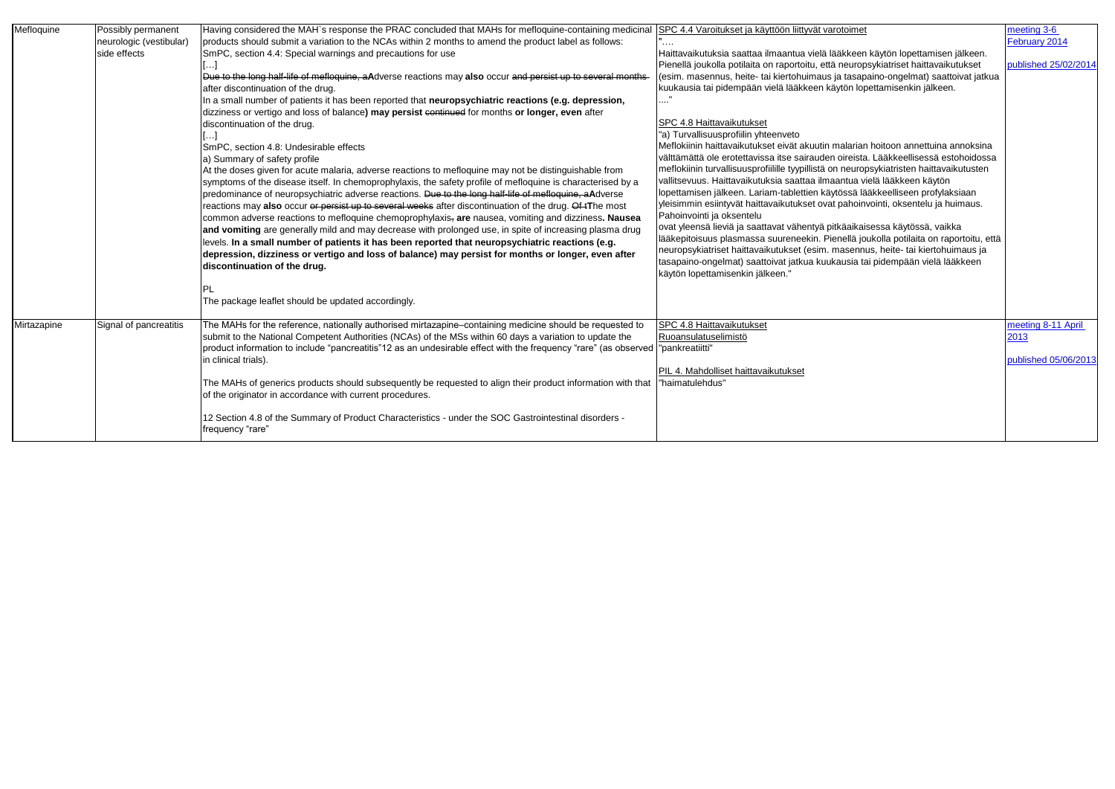| Mefloquine  | Possibly permanent<br>neurologic (vestibular)<br>side effects | Having considered the MAH's response the PRAC concluded that MAHs for mefloquine-containing medicinal<br>products should submit a variation to the NCAs within 2 months to amend the product label as follows:<br>SmPC, section 4.4: Special warnings and precautions for use<br>Due to the long half-life of mefloquine, aAdverse reactions may also occur and persist up to several months-<br>after discontinuation of the drug.<br>In a small number of patients it has been reported that neuropsychiatric reactions (e.g. depression,<br>dizziness or vertigo and loss of balance) may persist continued for months or longer, even after<br>discontinuation of the drug.<br>المما<br>SmPC, section 4.8: Undesirable effects<br>a) Summary of safety profile<br>At the doses given for acute malaria, adverse reactions to mefloquine may not be distinguishable from<br>symptoms of the disease itself. In chemoprophylaxis, the safety profile of mefloquine is characterised by a<br>predominance of neuropsychiatric adverse reactions. Due to the long half-life of mefloquine, aAdverse<br>reactions may also occur or persist up to several weeks after discontinuation of the drug. Of tThe most<br>common adverse reactions to mefloquine chemoprophylaxis <sub>7</sub> are nausea, vomiting and dizziness. Nausea<br>and vomiting are generally mild and may decrease with prolonged use, in spite of increasing plasma drug<br>levels. In a small number of patients it has been reported that neuropsychiatric reactions (e.g.<br>depression, dizziness or vertigo and loss of balance) may persist for months or longer, even after<br>discontinuation of the drug.<br>'PL | SPC 4.4 Varoitukset ja käyttöön liittyvät varotoimet<br>Haittavaikutuksia saattaa ilmaantua vielä lääkkeen käytön lopettamisen jälkeen.<br>Pienellä joukolla potilaita on raportoitu, että neuropsykiatriset haittavaikutukset<br>(esim. masennus, heite- tai kiertohuimaus ja tasapaino-ongelmat) saattoivat jatkua<br>kuukausia tai pidempään vielä lääkkeen käytön lopettamisenkin jälkeen.<br>SPC 4.8 Haittavaikutukset<br>"a) Turvallisuusprofiilin yhteenveto<br>Meflokiinin haittavaikutukset eivät akuutin malarian hoitoon annettuina annoksina<br>välttämättä ole erotettavissa itse sairauden oireista. Lääkkeellisessä estohoidossa<br>meflokiinin turvallisuusprofiilille tyypillistä on neuropsykiatristen haittavaikutusten<br>vallitsevuus. Haittavaikutuksia saattaa ilmaantua vielä lääkkeen käytön<br>lopettamisen jälkeen. Lariam-tablettien käytössä lääkkeelliseen profylaksiaan<br>yleisimmin esiintyvät haittavaikutukset ovat pahoinvointi, oksentelu ja huimaus.<br>Pahoinvointi ja oksentelu<br>ovat yleensä lieviä ja saattavat vähentyä pitkäaikaisessa käytössä, vaikka<br>lääkepitoisuus plasmassa suureneekin. Pienellä joukolla potilaita on raportoitu, että<br>neuropsykiatriset haittavaikutukset (esim. masennus, heite- tai kiertohuimaus ja<br>tasapaino-ongelmat) saattoivat jatkua kuukausia tai pidempään vielä lääkkeen<br>käytön lopettamisenkin jälkeen." |
|-------------|---------------------------------------------------------------|-----------------------------------------------------------------------------------------------------------------------------------------------------------------------------------------------------------------------------------------------------------------------------------------------------------------------------------------------------------------------------------------------------------------------------------------------------------------------------------------------------------------------------------------------------------------------------------------------------------------------------------------------------------------------------------------------------------------------------------------------------------------------------------------------------------------------------------------------------------------------------------------------------------------------------------------------------------------------------------------------------------------------------------------------------------------------------------------------------------------------------------------------------------------------------------------------------------------------------------------------------------------------------------------------------------------------------------------------------------------------------------------------------------------------------------------------------------------------------------------------------------------------------------------------------------------------------------------------------------------------------------------------------------------------------------------------|--------------------------------------------------------------------------------------------------------------------------------------------------------------------------------------------------------------------------------------------------------------------------------------------------------------------------------------------------------------------------------------------------------------------------------------------------------------------------------------------------------------------------------------------------------------------------------------------------------------------------------------------------------------------------------------------------------------------------------------------------------------------------------------------------------------------------------------------------------------------------------------------------------------------------------------------------------------------------------------------------------------------------------------------------------------------------------------------------------------------------------------------------------------------------------------------------------------------------------------------------------------------------------------------------------------------------------------------------------------------------------------------------------|
|             |                                                               | The package leaflet should be updated accordingly.                                                                                                                                                                                                                                                                                                                                                                                                                                                                                                                                                                                                                                                                                                                                                                                                                                                                                                                                                                                                                                                                                                                                                                                                                                                                                                                                                                                                                                                                                                                                                                                                                                            |                                                                                                                                                                                                                                                                                                                                                                                                                                                                                                                                                                                                                                                                                                                                                                                                                                                                                                                                                                                                                                                                                                                                                                                                                                                                                                                                                                                                        |
| Mirtazapine | Signal of pancreatitis                                        | The MAHs for the reference, nationally authorised mirtazapine-containing medicine should be requested to<br>submit to the National Competent Authorities (NCAs) of the MSs within 60 days a variation to update the<br>product information to include "pancreatitis"12 as an undesirable effect with the frequency "rare" (as observed  "pankreatiitti"<br>in clinical trials).<br>The MAHs of generics products should subsequently be requested to align their product information with that<br>of the originator in accordance with current procedures.<br>12 Section 4.8 of the Summary of Product Characteristics - under the SOC Gastrointestinal disorders -<br>frequency "rare"                                                                                                                                                                                                                                                                                                                                                                                                                                                                                                                                                                                                                                                                                                                                                                                                                                                                                                                                                                                                       | SPC 4.8 Haittavaikutukset<br>Ruoansulatuselimistö<br>PIL 4. Mahdolliset haittavaikutukset<br>"haimatulehdus"                                                                                                                                                                                                                                                                                                                                                                                                                                                                                                                                                                                                                                                                                                                                                                                                                                                                                                                                                                                                                                                                                                                                                                                                                                                                                           |
|             |                                                               |                                                                                                                                                                                                                                                                                                                                                                                                                                                                                                                                                                                                                                                                                                                                                                                                                                                                                                                                                                                                                                                                                                                                                                                                                                                                                                                                                                                                                                                                                                                                                                                                                                                                                               |                                                                                                                                                                                                                                                                                                                                                                                                                                                                                                                                                                                                                                                                                                                                                                                                                                                                                                                                                                                                                                                                                                                                                                                                                                                                                                                                                                                                        |

| <u>toimet</u>                                                                                                                                                                                                                                                                                                                                                                             | meeting 3-6<br>February 2014 |
|-------------------------------------------------------------------------------------------------------------------------------------------------------------------------------------------------------------------------------------------------------------------------------------------------------------------------------------------------------------------------------------------|------------------------------|
| kkeen käytön lopettamisen jälkeen.<br>europsykiatriset haittavaikutukset<br>tasapaino-ongelmat) saattoivat jatkua<br>tön lopettamisenkin jälkeen.                                                                                                                                                                                                                                         | published 25/02/2014         |
| alarian hoitoon annettuina annoksina<br>ireista. Lääkkeellisessä estohoidossa<br>neuropsykiatristen haittavaikutusten<br>ntua vielä lääkkeen käytön<br>ssä lääkkeelliseen profylaksiaan<br>ahoinvointi, oksentelu ja huimaus.<br>äaikaisessa käytössä, vaikka<br>ellä joukolla potilaita on raportoitu, että<br>asennus, heite- tai kiertohuimaus ja<br>usia tai pidempään vielä lääkkeen |                              |
|                                                                                                                                                                                                                                                                                                                                                                                           |                              |
|                                                                                                                                                                                                                                                                                                                                                                                           | meeting 8-11 April<br>2013   |
|                                                                                                                                                                                                                                                                                                                                                                                           | published 05/06/2013         |
|                                                                                                                                                                                                                                                                                                                                                                                           |                              |
|                                                                                                                                                                                                                                                                                                                                                                                           |                              |
|                                                                                                                                                                                                                                                                                                                                                                                           |                              |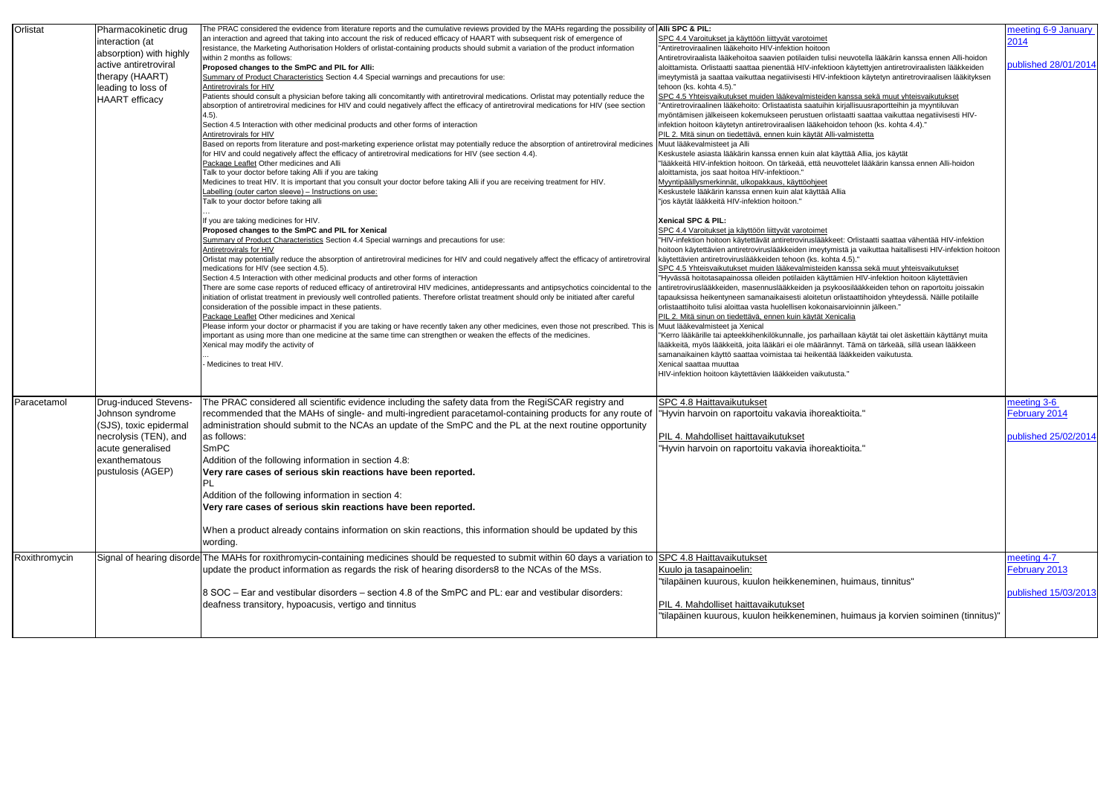| Orlistat      | Pharmacokinetic drug<br>interaction (at<br>absorption) with highly<br>active antiretroviral<br>therapy (HAART)<br>leading to loss of<br><b>HAART</b> efficacy  | The PRAC considered the evidence from literature reports and the cumulative reviews provided by the MAHs regarding the possibility of Alli SPC & PIL:<br>an interaction and agreed that taking into account the risk of reduced efficacy of HAART with subsequent risk of emergence of<br>resistance, the Marketing Authorisation Holders of orlistat-containing products should submit a variation of the product information<br>within 2 months as follows:<br>Proposed changes to the SmPC and PIL for Alli:<br>Summary of Product Characteristics Section 4.4 Special warnings and precautions for use:<br>Antiretrovirals for HIV<br>Patients should consult a physician before taking alli concomitantly with antiretroviral medications. Orlistat may potentially reduce the<br>absorption of antiretroviral medicines for HIV and could negatively affect the efficacy of antiretroviral medications for HIV (see section<br>(4.5)<br>Section 4.5 Interaction with other medicinal products and other forms of interaction<br>Antiretrovirals for HIV<br>Based on reports from literature and post-marketing experience orlistat may potentially reduce the absorption of antiretroviral medicines<br>for HIV and could negatively affect the efficacy of antiretroviral medications for HIV (see section 4.4).<br>Package Leaflet Other medicines and Alli<br>Talk to your doctor before taking Alli if you are taking<br>Medicines to treat HIV. It is important that you consult your doctor before taking Alli if you are receiving treatment for HIV. | SPC 4.4 Varoitukset ja käyttöön liittyvät varotoimet<br>"Antiretroviraalinen lääkehoito HIV-infektion hoitoon<br>Antiretroviraalista lääkehoitoa saavien potilaiden tulisi neuvotella lääkärin kanssa ennen Alli-hoidon<br>aloittamista. Orlistaatti saattaa pienentää HIV-infektioon käytettyjen antiretroviraalisten lääkkeiden<br>imeytymistä ja saattaa vaikuttaa negatiivisesti HIV-infektioon käytetyn antiretroviraalisen lääkityksen<br>tehoon (ks. kohta 4.5)."<br>SPC 4.5 Yhteisvaikutukset muiden lääkevalmisteiden kanssa sekä muut yhteisvaikutukset<br>"Antiretroviraalinen lääkehoito: Orlistaatista saatuihin kirjallisuusraportteihin ja myyntiluvan<br>myöntämisen jälkeiseen kokemukseen perustuen orlistaatti saattaa vaikuttaa negatiivisesti HIV-<br>infektion hoitoon käytetyn antiretroviraalisen lääkehoidon tehoon (ks. kohta 4.4)."<br>PIL 2. Mitä sinun on tiedettävä, ennen kuin käytät Alli-valmistetta<br>Muut lääkevalmisteet ja Alli<br>Keskustele asiasta lääkärin kanssa ennen kuin alat käyttää Allia, jos käytät<br>lääkkeitä HIV-infektion hoitoon. On tärkeää, että neuvottelet lääkärin kanssa ennen Alli-hoidon"<br>aloittamista, jos saat hoitoa HIV-infektioon."<br>Myyntipäällysmerkinnät, ulkopakkaus, käyttöohjeet                                                                                                                                                                                                  |
|---------------|----------------------------------------------------------------------------------------------------------------------------------------------------------------|--------------------------------------------------------------------------------------------------------------------------------------------------------------------------------------------------------------------------------------------------------------------------------------------------------------------------------------------------------------------------------------------------------------------------------------------------------------------------------------------------------------------------------------------------------------------------------------------------------------------------------------------------------------------------------------------------------------------------------------------------------------------------------------------------------------------------------------------------------------------------------------------------------------------------------------------------------------------------------------------------------------------------------------------------------------------------------------------------------------------------------------------------------------------------------------------------------------------------------------------------------------------------------------------------------------------------------------------------------------------------------------------------------------------------------------------------------------------------------------------------------------------------------------------------------------------|-------------------------------------------------------------------------------------------------------------------------------------------------------------------------------------------------------------------------------------------------------------------------------------------------------------------------------------------------------------------------------------------------------------------------------------------------------------------------------------------------------------------------------------------------------------------------------------------------------------------------------------------------------------------------------------------------------------------------------------------------------------------------------------------------------------------------------------------------------------------------------------------------------------------------------------------------------------------------------------------------------------------------------------------------------------------------------------------------------------------------------------------------------------------------------------------------------------------------------------------------------------------------------------------------------------------------------------------------------------------------------------------------------------------------------------------------------------------|
|               |                                                                                                                                                                | Labelling (outer carton sleeve) – Instructions on use:<br>Talk to your doctor before taking alli<br>If you are taking medicines for HIV.<br>Proposed changes to the SmPC and PIL for Xenical<br>Summary of Product Characteristics Section 4.4 Special warnings and precautions for use:<br>Antiretrovirals for HIV<br>Orlistat may potentially reduce the absorption of antiretroviral medicines for HIV and could negatively affect the efficacy of antiretroviral<br>medications for HIV (see section 4.5).<br>Section 4.5 Interaction with other medicinal products and other forms of interaction<br>There are some case reports of reduced efficacy of antiretroviral HIV medicines, antidepressants and antipsychotics coincidental to the<br>initiation of orlistat treatment in previously well controlled patients. Therefore orlistat treatment should only be initiated after careful<br>consideration of the possible impact in these patients.<br>Package Leaflet Other medicines and Xenical<br>Please inform your doctor or pharmacist if you are taking or have recently taken any other medicines, even those not prescribed. This is<br>important as using more than one medicine at the same time can strengthen or weaken the effects of the medicines.<br>Xenical may modify the activity of<br>- Medicines to treat HIV.                                                                                                                                                                                                                    | Keskustele lääkärin kanssa ennen kuin alat käyttää Allia<br>"jos käytät lääkkeitä HIV-infektion hoitoon."<br>Xenical SPC & PIL:<br>SPC 4.4 Varoitukset ja käyttöön liittyvät varotoimet<br>"HIV-infektion hoitoon käytettävät antiretroviruslääkkeet: Orlistaatti saattaa vähentää HIV-infektion<br>hoitoon käytettävien antiretroviruslääkkeiden imeytymistä ja vaikuttaa haitallisesti HIV-infektion hoitoon<br>käytettävien antiretroviruslääkkeiden tehoon (ks. kohta 4.5)."<br>SPC 4.5 Yhteisvaikutukset muiden lääkevalmisteiden kanssa sekä muut yhteisvaikutukset<br>"Hyvässä hoitotasapainossa olleiden potilaiden käyttämien HIV-infektion hoitoon käytettävien<br>antiretroviruslääkkeiden, masennuslääkkeiden ja psykoosilääkkeiden tehon on raportoitu joissakin<br>tapauksissa heikentyneen samanaikaisesti aloitetun orlistaattihoidon yhteydessä. Näille potilaille<br>orlistaattihoito tulisi aloittaa vasta huolellisen kokonaisarvioinnin jälkeen."<br>PIL 2. Mitä sinun on tiedettävä, ennen kuin käytät Xenicalia<br>Muut lääkevalmisteet ja Xenical<br>"Kerro lääkärille tai apteekkihenkilökunnalle, jos parhaillaan käytät tai olet äskettäin käyttänyt muita<br>lääkkeitä, myös lääkkeitä, joita lääkäri ei ole määrännyt. Tämä on tärkeää, sillä usean lääkkeen<br>samanaikainen käyttö saattaa voimistaa tai heikentää lääkkeiden vaikutusta.<br>Xenical saattaa muuttaa<br>HIV-infektion hoitoon käytettävien lääkkeiden vaikutusta." |
| Paracetamol   | <b>Drug-induced Stevens-</b><br>Johnson syndrome<br>(SJS), toxic epidermal<br>necrolysis (TEN), and<br>acute generalised<br>exanthematous<br>pustulosis (AGEP) | The PRAC considered all scientific evidence including the safety data from the RegiSCAR registry and<br>recommended that the MAHs of single- and multi-ingredient paracetamol-containing products for any route of<br>administration should submit to the NCAs an update of the SmPC and the PL at the next routine opportunity<br>as follows:<br>SmPC<br>Addition of the following information in section 4.8:<br>Very rare cases of serious skin reactions have been reported.<br>IPL.<br>Addition of the following information in section 4:<br>Very rare cases of serious skin reactions have been reported.<br>When a product already contains information on skin reactions, this information should be updated by this<br>wording.                                                                                                                                                                                                                                                                                                                                                                                                                                                                                                                                                                                                                                                                                                                                                                                                                          | SPC 4.8 Haittavaikutukset<br>"Hyvin harvoin on raportoitu vakavia ihoreaktioita."<br>PIL 4. Mahdolliset haittavaikutukset<br>"Hyvin harvoin on raportoitu vakavia ihoreaktioita.'                                                                                                                                                                                                                                                                                                                                                                                                                                                                                                                                                                                                                                                                                                                                                                                                                                                                                                                                                                                                                                                                                                                                                                                                                                                                                 |
| Roxithromycin |                                                                                                                                                                | Signal of hearing disorde The MAHs for roxithromycin-containing medicines should be requested to submit within 60 days a variation to SPC 4.8 Haittavaikutukset<br>update the product information as regards the risk of hearing disorders8 to the NCAs of the MSs.<br>8 SOC - Ear and vestibular disorders - section 4.8 of the SmPC and PL: ear and vestibular disorders:<br>deafness transitory, hypoacusis, vertigo and tinnitus                                                                                                                                                                                                                                                                                                                                                                                                                                                                                                                                                                                                                                                                                                                                                                                                                                                                                                                                                                                                                                                                                                                               | Kuulo ja tasapainoelin:<br>"tilapäinen kuurous, kuulon heikkeneminen, huimaus, tinnitus"<br>PIL 4. Mahdolliset haittavaikutukset<br>"tilapäinen kuurous, kuulon heikkeneminen, huimaus ja korvien soiminen (tinnitus)"                                                                                                                                                                                                                                                                                                                                                                                                                                                                                                                                                                                                                                                                                                                                                                                                                                                                                                                                                                                                                                                                                                                                                                                                                                            |

| ∣et                                                                                                                                                                                                                                             | meeting 6-9 January          |
|-------------------------------------------------------------------------------------------------------------------------------------------------------------------------------------------------------------------------------------------------|------------------------------|
| on<br>tulisi neuvotella lääkärin kanssa ennen Alli-hoidon<br>ektioon käytettyjen antiretroviraalisten lääkkeiden                                                                                                                                | 2014<br>published 28/01/2014 |
| V-infektioon käytetyn antiretroviraalisen lääkityksen                                                                                                                                                                                           |                              |
| eiden kanssa sekä muut yhteisvaikutukset<br>uihin kirjallisuusraportteihin ja myyntiluvan<br>n orlistaatti saattaa vaikuttaa negatiivisesti HIV-                                                                                                |                              |
| ehoidon tehoon (ks. kohta 4.4)."<br>t Alli-valmistetta                                                                                                                                                                                          |                              |
| ılat käyttää Allia, jos käytät<br>i neuvottelet lääkärin kanssa ennen Alli-hoidon                                                                                                                                                               |                              |
| <u>et</u><br>:ää Allia                                                                                                                                                                                                                          |                              |
|                                                                                                                                                                                                                                                 |                              |
| ıet<br>äkkeet: Orlistaatti saattaa vähentää HIV-infektion<br>ytymistä ja vaikuttaa haitallisesti HIV-infektion hoitoon<br>kohta 4.5)."                                                                                                          |                              |
| eiden kanssa sekä muut yhteisvaikutukset<br>äyttämien HIV-infektion hoitoon käytettävien<br>psykoosilääkkeiden tehon on raportoitu joissakin<br>tun orlistaattihoidon yhteydessä. Näille potilaille<br>onaisarvioinnin jälkeen."<br>t Xenicalia |                              |
| parhaillaan käytät tai olet äskettäin käyttänyt muita<br>irännyt. Tämä on tärkeää, sillä usean lääkkeen<br>entää lääkkeiden vaikutusta.                                                                                                         |                              |
| kutusta."                                                                                                                                                                                                                                       |                              |
| »reaktioita."                                                                                                                                                                                                                                   | meeting 3-6<br>February 2014 |
|                                                                                                                                                                                                                                                 |                              |
| ›reaktioita."                                                                                                                                                                                                                                   | published 25/02/2014         |
|                                                                                                                                                                                                                                                 |                              |
|                                                                                                                                                                                                                                                 |                              |
|                                                                                                                                                                                                                                                 |                              |
|                                                                                                                                                                                                                                                 | meeting 4-7                  |
| nen, huimaus, tinnitus"                                                                                                                                                                                                                         | <b>February 2013</b>         |
|                                                                                                                                                                                                                                                 | published 15/03/2013         |
| nen, huimaus ja korvien soiminen (tinnitus)"                                                                                                                                                                                                    |                              |
|                                                                                                                                                                                                                                                 |                              |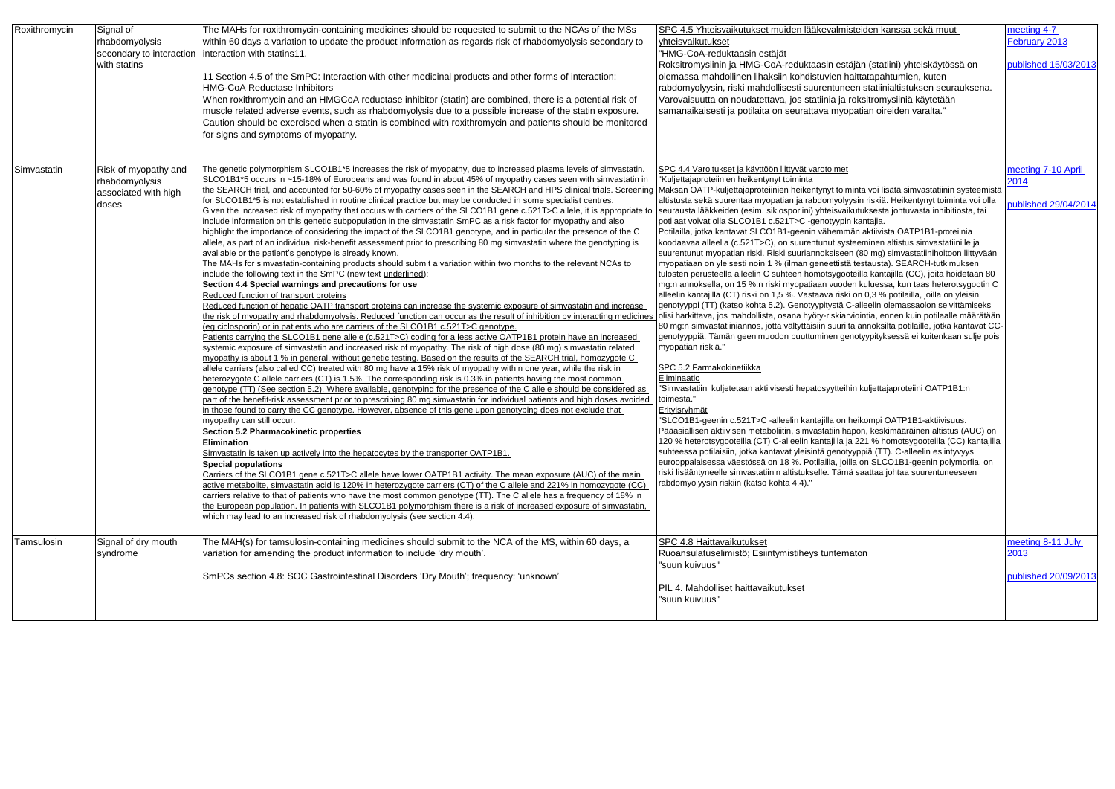| Roxithromycin | Signal of<br>rhabdomyolysis<br>secondary to interaction<br>with statins | The MAHs for roxithromycin-containing medicines should be requested to submit to the NCAs of the MSs<br>within 60 days a variation to update the product information as regards risk of rhabdomyolysis secondary to<br>interaction with statins11.<br>11 Section 4.5 of the SmPC: Interaction with other medicinal products and other forms of interaction:<br><b>HMG-CoA Reductase Inhibitors</b><br>When roxithromycin and an HMGCoA reductase inhibitor (statin) are combined, there is a potential risk of<br>muscle related adverse events, such as rhabdomyolysis due to a possible increase of the statin exposure.<br>Caution should be exercised when a statin is combined with roxithromycin and patients should be monitored<br>for signs and symptoms of myopathy.                                                                                                                                                                                                                                                                                                                                                                                                                                                                                                                                                                                                                                                                                                                                                                                                                                                                                                                                                                                                                                                                                                                                                                                                                                                                                                                                                                                                                                                                                                                                                                                                                                                                                                                                                                                                                                                                                                                                                                                                                                                                                                                                                                                                                                                                                                                                                                                                                                                                                                                                                                                                                                                                                                                                                      | SPC 4.5 Yhteisvaikutukset muiden lääkevalmisteiden kanssa sekä muut<br>yhteisvaikutukset<br>"HMG-CoA-reduktaasin estäjät<br>Roksitromysiinin ja HMG-CoA-reduktaasin estäjän (statiini) yhteiskäytössä on<br>olemassa mahdollinen lihaksiin kohdistuvien haittatapahtumien, kuten<br>rabdomyolyysin, riski mahdollisesti suurentuneen statiinialtistuksen seurauksena.<br>Varovaisuutta on noudatettava, jos statiinia ja roksitromysiiniä käytetään<br>samanaikaisesti ja potilaita on seurattava myopatian oireiden varalta."                                                                                                                                                                                                                                                                                                                                                                                                                                                                                                                                                                                                                                                                                                                                                                                                                                                                                                                                                                                                                                                                                                                                                                                                                                                                                                                                                                                                                                                                                                                                                                                                                                                                                                             | meeting 4-7<br>February 2013<br>published 15/03/2013 |
|---------------|-------------------------------------------------------------------------|-------------------------------------------------------------------------------------------------------------------------------------------------------------------------------------------------------------------------------------------------------------------------------------------------------------------------------------------------------------------------------------------------------------------------------------------------------------------------------------------------------------------------------------------------------------------------------------------------------------------------------------------------------------------------------------------------------------------------------------------------------------------------------------------------------------------------------------------------------------------------------------------------------------------------------------------------------------------------------------------------------------------------------------------------------------------------------------------------------------------------------------------------------------------------------------------------------------------------------------------------------------------------------------------------------------------------------------------------------------------------------------------------------------------------------------------------------------------------------------------------------------------------------------------------------------------------------------------------------------------------------------------------------------------------------------------------------------------------------------------------------------------------------------------------------------------------------------------------------------------------------------------------------------------------------------------------------------------------------------------------------------------------------------------------------------------------------------------------------------------------------------------------------------------------------------------------------------------------------------------------------------------------------------------------------------------------------------------------------------------------------------------------------------------------------------------------------------------------------------------------------------------------------------------------------------------------------------------------------------------------------------------------------------------------------------------------------------------------------------------------------------------------------------------------------------------------------------------------------------------------------------------------------------------------------------------------------------------------------------------------------------------------------------------------------------------------------------------------------------------------------------------------------------------------------------------------------------------------------------------------------------------------------------------------------------------------------------------------------------------------------------------------------------------------------------------------------------------------------------------------------------------------------------|--------------------------------------------------------------------------------------------------------------------------------------------------------------------------------------------------------------------------------------------------------------------------------------------------------------------------------------------------------------------------------------------------------------------------------------------------------------------------------------------------------------------------------------------------------------------------------------------------------------------------------------------------------------------------------------------------------------------------------------------------------------------------------------------------------------------------------------------------------------------------------------------------------------------------------------------------------------------------------------------------------------------------------------------------------------------------------------------------------------------------------------------------------------------------------------------------------------------------------------------------------------------------------------------------------------------------------------------------------------------------------------------------------------------------------------------------------------------------------------------------------------------------------------------------------------------------------------------------------------------------------------------------------------------------------------------------------------------------------------------------------------------------------------------------------------------------------------------------------------------------------------------------------------------------------------------------------------------------------------------------------------------------------------------------------------------------------------------------------------------------------------------------------------------------------------------------------------------------------------------|------------------------------------------------------|
| Simvastatin   | Risk of myopathy and<br>rhabdomyolysis<br>associated with high<br>doses | The genetic polymorphism SLCO1B1*5 increases the risk of myopathy, due to increased plasma levels of simvastatin.<br>SLCO1B1*5 occurs in ~15-18% of Europeans and was found in about 45% of myopathy cases seen with simvastatin in<br>the SEARCH trial, and accounted for 50-60% of myopathy cases seen in the SEARCH and HPS clinical trials. Screening Maksan OATP-kuljettajaproteiinien heikentynyt toiminta voi lisätä simvastatiinin systeemistä<br>for SLCO1B1*5 is not established in routine clinical practice but may be conducted in some specialist centres.<br>Given the increased risk of myopathy that occurs with carriers of the SLCO1B1 gene c.521T>C allele, it is appropriate to<br>include information on this genetic subpopulation in the simvastatin SmPC as a risk factor for myopathy and also<br>highlight the importance of considering the impact of the SLCO1B1 genotype, and in particular the presence of the C<br>allele, as part of an individual risk-benefit assessment prior to prescribing 80 mg simvastatin where the genotyping is<br>available or the patient's genotype is already known.<br>The MAHs for simvastatin-containing products should submit a variation within two months to the relevant NCAs to<br>include the following text in the SmPC (new text underlined):<br>Section 4.4 Special warnings and precautions for use<br>Reduced function of transport proteins<br>Reduced function of hepatic OATP transport proteins can increase the systemic exposure of simvastatin and increase<br>the risk of myopathy and rhabdomyolysis. Reduced function can occur as the result of inhibition by interacting medicines<br>eg ciclosporin) or in patients who are carriers of the SLCO1B1 c.521T>C genotype.<br>Patients carrying the SLCO1B1 gene allele (c.521T>C) coding for a less active OATP1B1 protein have an increased<br>systemic exposure of simvastatin and increased risk of myopathy. The risk of high dose (80 mg) simvastatin related<br>myopathy is about 1 % in general, without genetic testing. Based on the results of the SEARCH trial, homozygote C<br>allele carriers (also called CC) treated with 80 mg have a 15% risk of myopathy within one year, while the risk in<br>heterozygote C allele carriers (CT) is 1.5%. The corresponding risk is 0.3% in patients having the most common<br>genotype (TT) (See section 5.2). Where available, genotyping for the presence of the C allele should be considered as<br>part of the benefit-risk assessment prior to prescribing 80 mg simvastatin for individual patients and high doses avoided<br>in those found to carry the CC genotype. However, absence of this gene upon genotyping does not exclude that<br>myopathy can still occur.<br><b>Section 5.2 Pharmacokinetic properties</b><br>Elimination<br>Simvastatin is taken up actively into the hepatocytes by the transporter OATP1B1.<br><b>Special populations</b><br>Carriers of the SLCO1B1 gene c.521T>C allele have lower OATP1B1 activity. The mean exposure (AUC) of the main<br>active metabolite, simvastatin acid is 120% in heterozygote carriers (CT) of the C allele and 221% in homozygote (CC)<br>carriers relative to that of patients who have the most common genotype (TT). The C allele has a frequency of 18% in<br>the European population. In patients with SLCO1B1 polymorphism there is a risk of increased exposure of simvastatin,<br>which may lead to an increased risk of rhabdomyolysis (see section 4.4). | SPC 4.4 Varoitukset ja käyttöön liittyvät varotoimet<br>"Kuljettajaproteiinien heikentynyt toiminta<br>altistusta sekä suurentaa myopatian ja rabdomyolyysin riskiä. Heikentynyt toiminta voi olla<br>seurausta lääkkeiden (esim. siklosporiini) yhteisvaikutuksesta johtuvasta inhibitiosta, tai<br>potilaat voivat olla SLCO1B1 c.521T>C -genotyypin kantajia.<br>Potilailla, jotka kantavat SLCO1B1-geenin vähemmän aktiivista OATP1B1-proteiinia<br>koodaavaa alleelia (c.521T>C), on suurentunut systeeminen altistus simvastatiinille ja<br>suurentunut myopatian riski. Riski suuriannoksiseen (80 mg) simvastatiinihoitoon liittyvään<br>myopatiaan on yleisesti noin 1 % (ilman geneettistä testausta). SEARCH-tutkimuksen<br>tulosten perusteella alleelin C suhteen homotsygooteilla kantajilla (CC), joita hoidetaan 80<br>mg:n annoksella, on 15 %:n riski myopatiaan vuoden kuluessa, kun taas heterotsygootin C<br>alleelin kantajilla (CT) riski on 1,5 %. Vastaava riski on 0,3 % potilailla, joilla on yleisin<br>genotyyppi (TT) (katso kohta 5.2). Genotyypitystä C-alleelin olemassaolon selvittämiseksi<br>olisi harkittava, jos mahdollista, osana hyöty-riskiarviointia, ennen kuin potilaalle määrätään<br>80 mg:n simvastatiiniannos, jotta vältyttäisiin suurilta annoksilta potilaille, jotka kantavat CC-<br>genotyyppiä. Tämän geenimuodon puuttuminen genotyypityksessä ei kuitenkaan sulje pois<br>myopatian riskiä."<br>SPC 5.2 Farmakokinetiikka<br>Eliminaatio<br>Simvastatiini kuljetetaan aktiivisesti hepatosyytteihin kuljettajaproteiini OATP1B1:n<br>toimesta."<br>Erityisryhmät<br>"SLCO1B1-geenin c.521T>C -alleelin kantajilla on heikompi OATP1B1-aktiivisuus.<br>Pääasiallisen aktiivisen metaboliitin, simvastatiinihapon, keskimääräinen altistus (AUC) on<br>120 % heterotsygooteilla (CT) C-alleelin kantajilla ja 221 % homotsygooteilla (CC) kantajilla<br>suhteessa potilaisiin, jotka kantavat yleisintä genotyyppiä (TT). C-alleelin esiintyvyys<br>eurooppalaisessa väestössä on 18 %. Potilailla, joilla on SLCO1B1-geenin polymorfia, on<br>riski lisääntyneelle simvastatiinin altistukselle. Tämä saattaa johtaa suurentuneeseen<br>rabdomyolyysin riskiin (katso kohta 4.4)." | meeting 7-10 April<br>2014<br>published 29/04/2014   |
| Tamsulosin    | Signal of dry mouth<br>syndrome                                         | The MAH(s) for tamsulosin-containing medicines should submit to the NCA of the MS, within 60 days, a<br>variation for amending the product information to include 'dry mouth'.<br>SmPCs section 4.8: SOC Gastrointestinal Disorders 'Dry Mouth'; frequency: 'unknown'                                                                                                                                                                                                                                                                                                                                                                                                                                                                                                                                                                                                                                                                                                                                                                                                                                                                                                                                                                                                                                                                                                                                                                                                                                                                                                                                                                                                                                                                                                                                                                                                                                                                                                                                                                                                                                                                                                                                                                                                                                                                                                                                                                                                                                                                                                                                                                                                                                                                                                                                                                                                                                                                                                                                                                                                                                                                                                                                                                                                                                                                                                                                                                                                                                                               | SPC 4.8 Haittavaikutukset<br>Ruoansulatuselimistö; Esiintymistiheys tuntematon<br>"suun kuivuus"<br>PIL 4. Mahdolliset haittavaikutukset<br>"suun kuivuus"                                                                                                                                                                                                                                                                                                                                                                                                                                                                                                                                                                                                                                                                                                                                                                                                                                                                                                                                                                                                                                                                                                                                                                                                                                                                                                                                                                                                                                                                                                                                                                                                                                                                                                                                                                                                                                                                                                                                                                                                                                                                                 | meeting 8-11 July<br>2013<br>published 20/09/2013    |